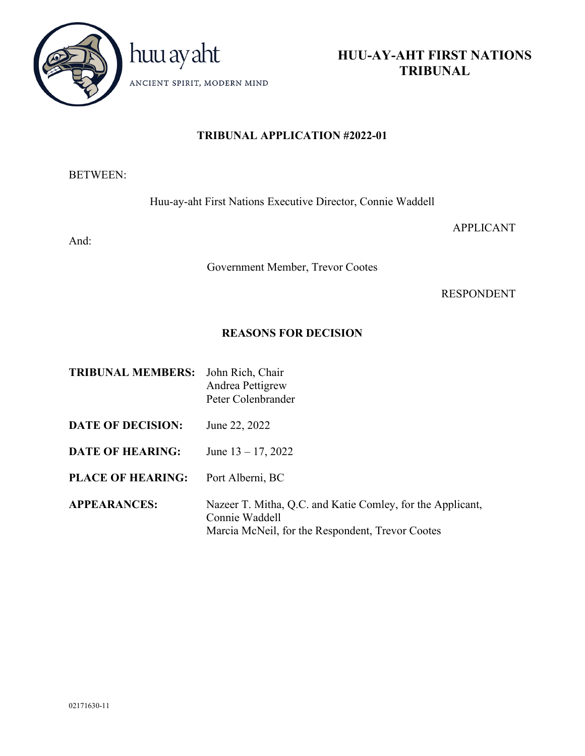

**HUU-AY-AHT FIRST NATIONS TRIBUNAL**

# **TRIBUNAL APPLICATION #2022-01**

# BETWEEN:

Huu-ay-aht First Nations Executive Director, Connie Waddell

And:

APPLICANT

Government Member, Trevor Cootes

RESPONDENT

# **REASONS FOR DECISION**

| <b>TRIBUNAL MEMBERS:</b> | John Rich, Chair<br>Andrea Pettigrew<br>Peter Colenbrander                                                                       |
|--------------------------|----------------------------------------------------------------------------------------------------------------------------------|
| <b>DATE OF DECISION:</b> | June 22, 2022                                                                                                                    |
| <b>DATE OF HEARING:</b>  | June $13 - 17$ , 2022                                                                                                            |
| <b>PLACE OF HEARING:</b> | Port Alberni, BC                                                                                                                 |
| <b>APPEARANCES:</b>      | Nazeer T. Mitha, Q.C. and Katie Comley, for the Applicant,<br>Connie Waddell<br>Marcia McNeil, for the Respondent, Trevor Cootes |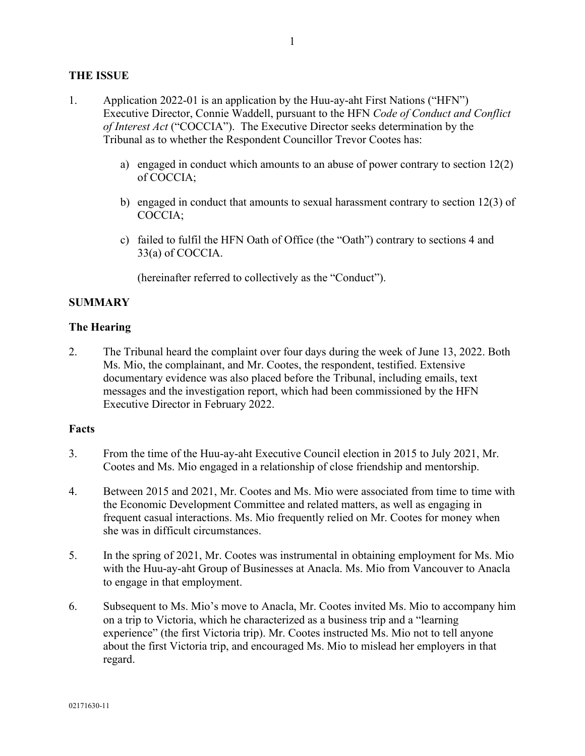## **THE ISSUE**

- 1. Application 2022-01 is an application by the Huu-ay-aht First Nations ("HFN") Executive Director, Connie Waddell, pursuant to the HFN *Code of Conduct and Conflict of Interest Act* ("COCCIA"). The Executive Director seeks determination by the Tribunal as to whether the Respondent Councillor Trevor Cootes has:
	- a) engaged in conduct which amounts to an abuse of power contrary to section 12(2) of COCCIA;
	- b) engaged in conduct that amounts to sexual harassment contrary to section 12(3) of COCCIA;
	- c) failed to fulfil the HFN Oath of Office (the "Oath") contrary to sections 4 and 33(a) of COCCIA.

(hereinafter referred to collectively as the "Conduct").

## **SUMMARY**

### **The Hearing**

2. The Tribunal heard the complaint over four days during the week of June 13, 2022. Both Ms. Mio, the complainant, and Mr. Cootes, the respondent, testified. Extensive documentary evidence was also placed before the Tribunal, including emails, text messages and the investigation report, which had been commissioned by the HFN Executive Director in February 2022.

### **Facts**

- 3. From the time of the Huu-ay-aht Executive Council election in 2015 to July 2021, Mr. Cootes and Ms. Mio engaged in a relationship of close friendship and mentorship.
- 4. Between 2015 and 2021, Mr. Cootes and Ms. Mio were associated from time to time with the Economic Development Committee and related matters, as well as engaging in frequent casual interactions. Ms. Mio frequently relied on Mr. Cootes for money when she was in difficult circumstances.
- 5. In the spring of 2021, Mr. Cootes was instrumental in obtaining employment for Ms. Mio with the Huu-ay-aht Group of Businesses at Anacla. Ms. Mio from Vancouver to Anacla to engage in that employment.
- 6. Subsequent to Ms. Mio's move to Anacla, Mr. Cootes invited Ms. Mio to accompany him on a trip to Victoria, which he characterized as a business trip and a "learning experience" (the first Victoria trip). Mr. Cootes instructed Ms. Mio not to tell anyone about the first Victoria trip, and encouraged Ms. Mio to mislead her employers in that regard.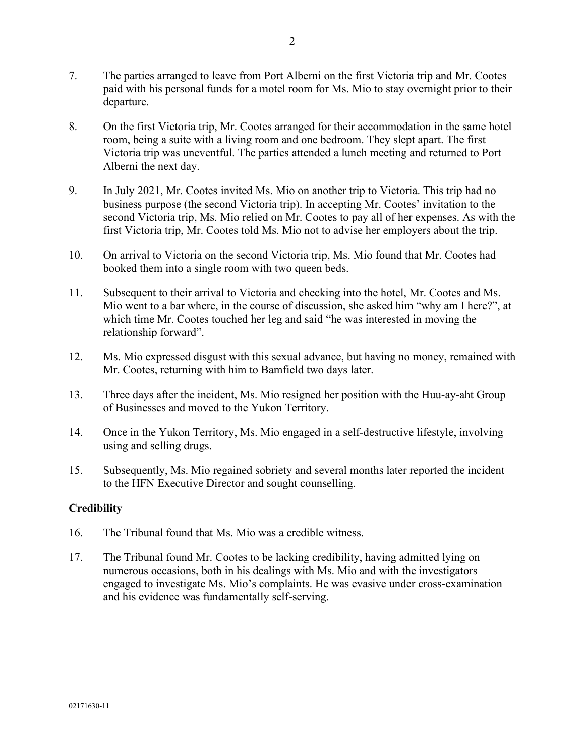- 7. The parties arranged to leave from Port Alberni on the first Victoria trip and Mr. Cootes paid with his personal funds for a motel room for Ms. Mio to stay overnight prior to their departure.
- 8. On the first Victoria trip, Mr. Cootes arranged for their accommodation in the same hotel room, being a suite with a living room and one bedroom. They slept apart. The first Victoria trip was uneventful. The parties attended a lunch meeting and returned to Port Alberni the next day.
- 9. In July 2021, Mr. Cootes invited Ms. Mio on another trip to Victoria. This trip had no business purpose (the second Victoria trip). In accepting Mr. Cootes' invitation to the second Victoria trip, Ms. Mio relied on Mr. Cootes to pay all of her expenses. As with the first Victoria trip, Mr. Cootes told Ms. Mio not to advise her employers about the trip.
- 10. On arrival to Victoria on the second Victoria trip, Ms. Mio found that Mr. Cootes had booked them into a single room with two queen beds.
- 11. Subsequent to their arrival to Victoria and checking into the hotel, Mr. Cootes and Ms. Mio went to a bar where, in the course of discussion, she asked him "why am I here?", at which time Mr. Cootes touched her leg and said "he was interested in moving the relationship forward".
- 12. Ms. Mio expressed disgust with this sexual advance, but having no money, remained with Mr. Cootes, returning with him to Bamfield two days later.
- 13. Three days after the incident, Ms. Mio resigned her position with the Huu-ay-aht Group of Businesses and moved to the Yukon Territory.
- 14. Once in the Yukon Territory, Ms. Mio engaged in a self-destructive lifestyle, involving using and selling drugs.
- 15. Subsequently, Ms. Mio regained sobriety and several months later reported the incident to the HFN Executive Director and sought counselling.

# **Credibility**

- 16. The Tribunal found that Ms. Mio was a credible witness.
- 17. The Tribunal found Mr. Cootes to be lacking credibility, having admitted lying on numerous occasions, both in his dealings with Ms. Mio and with the investigators engaged to investigate Ms. Mio's complaints. He was evasive under cross-examination and his evidence was fundamentally self-serving.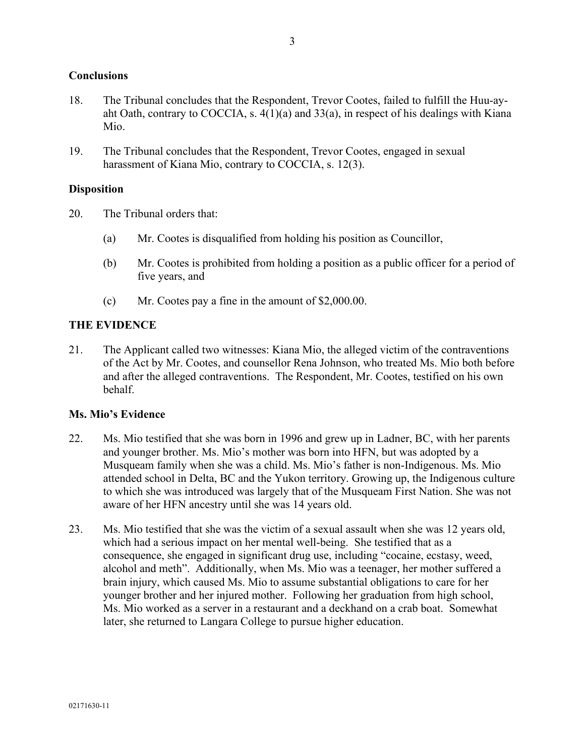## **Conclusions**

- 18. The Tribunal concludes that the Respondent, Trevor Cootes, failed to fulfill the Huu-ayaht Oath, contrary to COCCIA, s. 4(1)(a) and 33(a), in respect of his dealings with Kiana Mio.
- 19. The Tribunal concludes that the Respondent, Trevor Cootes, engaged in sexual harassment of Kiana Mio, contrary to COCCIA, s. 12(3).

## **Disposition**

- 20. The Tribunal orders that:
	- (a) Mr. Cootes is disqualified from holding his position as Councillor,
	- (b) Mr. Cootes is prohibited from holding a position as a public officer for a period of five years, and
	- (c) Mr. Cootes pay a fine in the amount of \$2,000.00.

## **THE EVIDENCE**

21. The Applicant called two witnesses: Kiana Mio, the alleged victim of the contraventions of the Act by Mr. Cootes, and counsellor Rena Johnson, who treated Ms. Mio both before and after the alleged contraventions. The Respondent, Mr. Cootes, testified on his own behalf.

### **Ms. Mio's Evidence**

- 22. Ms. Mio testified that she was born in 1996 and grew up in Ladner, BC, with her parents and younger brother. Ms. Mio's mother was born into HFN, but was adopted by a Musqueam family when she was a child. Ms. Mio's father is non-Indigenous. Ms. Mio attended school in Delta, BC and the Yukon territory. Growing up, the Indigenous culture to which she was introduced was largely that of the Musqueam First Nation. She was not aware of her HFN ancestry until she was 14 years old.
- 23. Ms. Mio testified that she was the victim of a sexual assault when she was 12 years old, which had a serious impact on her mental well-being. She testified that as a consequence, she engaged in significant drug use, including "cocaine, ecstasy, weed, alcohol and meth". Additionally, when Ms. Mio was a teenager, her mother suffered a brain injury, which caused Ms. Mio to assume substantial obligations to care for her younger brother and her injured mother. Following her graduation from high school, Ms. Mio worked as a server in a restaurant and a deckhand on a crab boat. Somewhat later, she returned to Langara College to pursue higher education.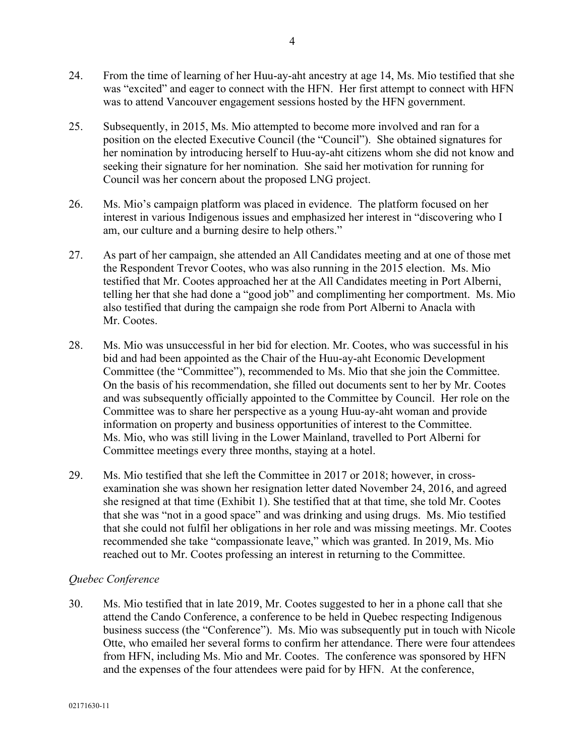- 24. From the time of learning of her Huu-ay-aht ancestry at age 14, Ms. Mio testified that she was "excited" and eager to connect with the HFN. Her first attempt to connect with HFN was to attend Vancouver engagement sessions hosted by the HFN government.
- 25. Subsequently, in 2015, Ms. Mio attempted to become more involved and ran for a position on the elected Executive Council (the "Council"). She obtained signatures for her nomination by introducing herself to Huu-ay-aht citizens whom she did not know and seeking their signature for her nomination. She said her motivation for running for Council was her concern about the proposed LNG project.
- 26. Ms. Mio's campaign platform was placed in evidence. The platform focused on her interest in various Indigenous issues and emphasized her interest in "discovering who I am, our culture and a burning desire to help others."
- 27. As part of her campaign, she attended an All Candidates meeting and at one of those met the Respondent Trevor Cootes, who was also running in the 2015 election. Ms. Mio testified that Mr. Cootes approached her at the All Candidates meeting in Port Alberni, telling her that she had done a "good job" and complimenting her comportment. Ms. Mio also testified that during the campaign she rode from Port Alberni to Anacla with Mr. Cootes.
- 28. Ms. Mio was unsuccessful in her bid for election. Mr. Cootes, who was successful in his bid and had been appointed as the Chair of the Huu-ay-aht Economic Development Committee (the "Committee"), recommended to Ms. Mio that she join the Committee. On the basis of his recommendation, she filled out documents sent to her by Mr. Cootes and was subsequently officially appointed to the Committee by Council. Her role on the Committee was to share her perspective as a young Huu-ay-aht woman and provide information on property and business opportunities of interest to the Committee. Ms. Mio, who was still living in the Lower Mainland, travelled to Port Alberni for Committee meetings every three months, staying at a hotel.
- 29. Ms. Mio testified that she left the Committee in 2017 or 2018; however, in crossexamination she was shown her resignation letter dated November 24, 2016, and agreed she resigned at that time (Exhibit 1). She testified that at that time, she told Mr. Cootes that she was "not in a good space" and was drinking and using drugs. Ms. Mio testified that she could not fulfil her obligations in her role and was missing meetings. Mr. Cootes recommended she take "compassionate leave," which was granted. In 2019, Ms. Mio reached out to Mr. Cootes professing an interest in returning to the Committee.

### *Quebec Conference*

30. Ms. Mio testified that in late 2019, Mr. Cootes suggested to her in a phone call that she attend the Cando Conference, a conference to be held in Quebec respecting Indigenous business success (the "Conference"). Ms. Mio was subsequently put in touch with Nicole Otte, who emailed her several forms to confirm her attendance. There were four attendees from HFN, including Ms. Mio and Mr. Cootes. The conference was sponsored by HFN and the expenses of the four attendees were paid for by HFN. At the conference,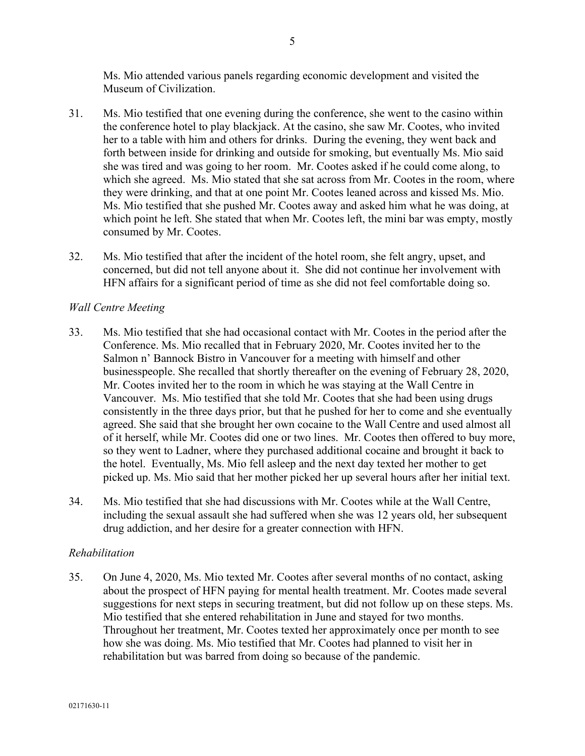Ms. Mio attended various panels regarding economic development and visited the Museum of Civilization.

- 31. Ms. Mio testified that one evening during the conference, she went to the casino within the conference hotel to play blackjack. At the casino, she saw Mr. Cootes, who invited her to a table with him and others for drinks. During the evening, they went back and forth between inside for drinking and outside for smoking, but eventually Ms. Mio said she was tired and was going to her room. Mr. Cootes asked if he could come along, to which she agreed. Ms. Mio stated that she sat across from Mr. Cootes in the room, where they were drinking, and that at one point Mr. Cootes leaned across and kissed Ms. Mio. Ms. Mio testified that she pushed Mr. Cootes away and asked him what he was doing, at which point he left. She stated that when Mr. Cootes left, the mini bar was empty, mostly consumed by Mr. Cootes.
- 32. Ms. Mio testified that after the incident of the hotel room, she felt angry, upset, and concerned, but did not tell anyone about it. She did not continue her involvement with HFN affairs for a significant period of time as she did not feel comfortable doing so.

# *Wall Centre Meeting*

- 33. Ms. Mio testified that she had occasional contact with Mr. Cootes in the period after the Conference. Ms. Mio recalled that in February 2020, Mr. Cootes invited her to the Salmon n' Bannock Bistro in Vancouver for a meeting with himself and other businesspeople. She recalled that shortly thereafter on the evening of February 28, 2020, Mr. Cootes invited her to the room in which he was staying at the Wall Centre in Vancouver. Ms. Mio testified that she told Mr. Cootes that she had been using drugs consistently in the three days prior, but that he pushed for her to come and she eventually agreed. She said that she brought her own cocaine to the Wall Centre and used almost all of it herself, while Mr. Cootes did one or two lines. Mr. Cootes then offered to buy more, so they went to Ladner, where they purchased additional cocaine and brought it back to the hotel. Eventually, Ms. Mio fell asleep and the next day texted her mother to get picked up. Ms. Mio said that her mother picked her up several hours after her initial text.
- 34. Ms. Mio testified that she had discussions with Mr. Cootes while at the Wall Centre, including the sexual assault she had suffered when she was 12 years old, her subsequent drug addiction, and her desire for a greater connection with HFN.

# *Rehabilitation*

35. On June 4, 2020, Ms. Mio texted Mr. Cootes after several months of no contact, asking about the prospect of HFN paying for mental health treatment. Mr. Cootes made several suggestions for next steps in securing treatment, but did not follow up on these steps. Ms. Mio testified that she entered rehabilitation in June and stayed for two months. Throughout her treatment, Mr. Cootes texted her approximately once per month to see how she was doing. Ms. Mio testified that Mr. Cootes had planned to visit her in rehabilitation but was barred from doing so because of the pandemic.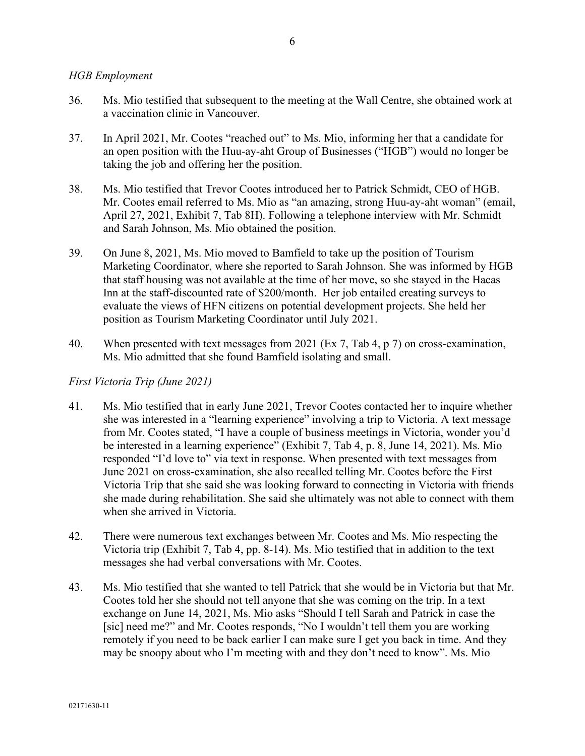## *HGB Employment*

- 36. Ms. Mio testified that subsequent to the meeting at the Wall Centre, she obtained work at a vaccination clinic in Vancouver.
- 37. In April 2021, Mr. Cootes "reached out" to Ms. Mio, informing her that a candidate for an open position with the Huu-ay-aht Group of Businesses ("HGB") would no longer be taking the job and offering her the position.
- 38. Ms. Mio testified that Trevor Cootes introduced her to Patrick Schmidt, CEO of HGB. Mr. Cootes email referred to Ms. Mio as "an amazing, strong Huu-ay-aht woman" (email, April 27, 2021, Exhibit 7, Tab 8H). Following a telephone interview with Mr. Schmidt and Sarah Johnson, Ms. Mio obtained the position.
- 39. On June 8, 2021, Ms. Mio moved to Bamfield to take up the position of Tourism Marketing Coordinator, where she reported to Sarah Johnson. She was informed by HGB that staff housing was not available at the time of her move, so she stayed in the Hacas Inn at the staff-discounted rate of \$200/month. Her job entailed creating surveys to evaluate the views of HFN citizens on potential development projects. She held her position as Tourism Marketing Coordinator until July 2021.
- 40. When presented with text messages from 2021 (Ex 7, Tab 4, p 7) on cross-examination, Ms. Mio admitted that she found Bamfield isolating and small.

## *First Victoria Trip (June 2021)*

- 41. Ms. Mio testified that in early June 2021, Trevor Cootes contacted her to inquire whether she was interested in a "learning experience" involving a trip to Victoria. A text message from Mr. Cootes stated, "I have a couple of business meetings in Victoria, wonder you'd be interested in a learning experience" (Exhibit 7, Tab 4, p. 8, June 14, 2021). Ms. Mio responded "I'd love to" via text in response. When presented with text messages from June 2021 on cross-examination, she also recalled telling Mr. Cootes before the First Victoria Trip that she said she was looking forward to connecting in Victoria with friends she made during rehabilitation. She said she ultimately was not able to connect with them when she arrived in Victoria.
- 42. There were numerous text exchanges between Mr. Cootes and Ms. Mio respecting the Victoria trip (Exhibit 7, Tab 4, pp. 8-14). Ms. Mio testified that in addition to the text messages she had verbal conversations with Mr. Cootes.
- 43. Ms. Mio testified that she wanted to tell Patrick that she would be in Victoria but that Mr. Cootes told her she should not tell anyone that she was coming on the trip. In a text exchange on June 14, 2021, Ms. Mio asks "Should I tell Sarah and Patrick in case the [sic] need me?" and Mr. Cootes responds, "No I wouldn't tell them you are working remotely if you need to be back earlier I can make sure I get you back in time. And they may be snoopy about who I'm meeting with and they don't need to know". Ms. Mio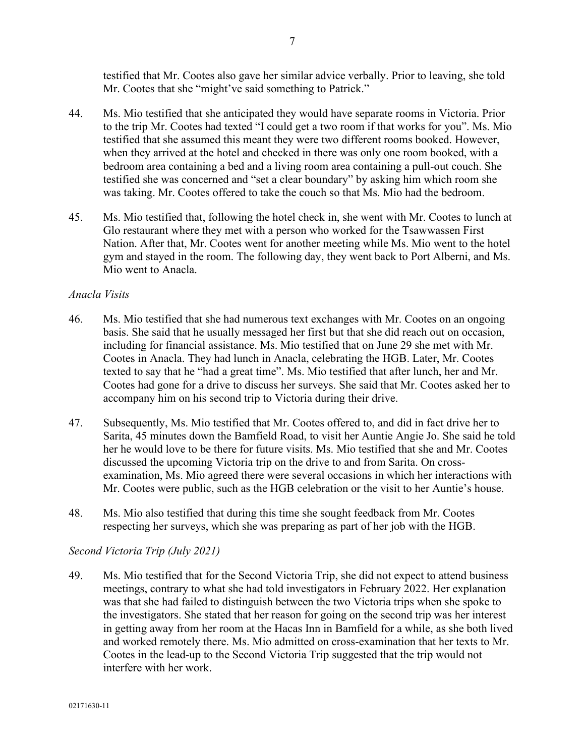testified that Mr. Cootes also gave her similar advice verbally. Prior to leaving, she told Mr. Cootes that she "might've said something to Patrick."

- 44. Ms. Mio testified that she anticipated they would have separate rooms in Victoria. Prior to the trip Mr. Cootes had texted "I could get a two room if that works for you". Ms. Mio testified that she assumed this meant they were two different rooms booked. However, when they arrived at the hotel and checked in there was only one room booked, with a bedroom area containing a bed and a living room area containing a pull-out couch. She testified she was concerned and "set a clear boundary" by asking him which room she was taking. Mr. Cootes offered to take the couch so that Ms. Mio had the bedroom.
- 45. Ms. Mio testified that, following the hotel check in, she went with Mr. Cootes to lunch at Glo restaurant where they met with a person who worked for the Tsawwassen First Nation. After that, Mr. Cootes went for another meeting while Ms. Mio went to the hotel gym and stayed in the room. The following day, they went back to Port Alberni, and Ms. Mio went to Anacla.

## *Anacla Visits*

- 46. Ms. Mio testified that she had numerous text exchanges with Mr. Cootes on an ongoing basis. She said that he usually messaged her first but that she did reach out on occasion, including for financial assistance. Ms. Mio testified that on June 29 she met with Mr. Cootes in Anacla. They had lunch in Anacla, celebrating the HGB. Later, Mr. Cootes texted to say that he "had a great time". Ms. Mio testified that after lunch, her and Mr. Cootes had gone for a drive to discuss her surveys. She said that Mr. Cootes asked her to accompany him on his second trip to Victoria during their drive.
- 47. Subsequently, Ms. Mio testified that Mr. Cootes offered to, and did in fact drive her to Sarita, 45 minutes down the Bamfield Road, to visit her Auntie Angie Jo. She said he told her he would love to be there for future visits. Ms. Mio testified that she and Mr. Cootes discussed the upcoming Victoria trip on the drive to and from Sarita. On crossexamination, Ms. Mio agreed there were several occasions in which her interactions with Mr. Cootes were public, such as the HGB celebration or the visit to her Auntie's house.
- 48. Ms. Mio also testified that during this time she sought feedback from Mr. Cootes respecting her surveys, which she was preparing as part of her job with the HGB.

### *Second Victoria Trip (July 2021)*

49. Ms. Mio testified that for the Second Victoria Trip, she did not expect to attend business meetings, contrary to what she had told investigators in February 2022. Her explanation was that she had failed to distinguish between the two Victoria trips when she spoke to the investigators. She stated that her reason for going on the second trip was her interest in getting away from her room at the Hacas Inn in Bamfield for a while, as she both lived and worked remotely there. Ms. Mio admitted on cross-examination that her texts to Mr. Cootes in the lead-up to the Second Victoria Trip suggested that the trip would not interfere with her work.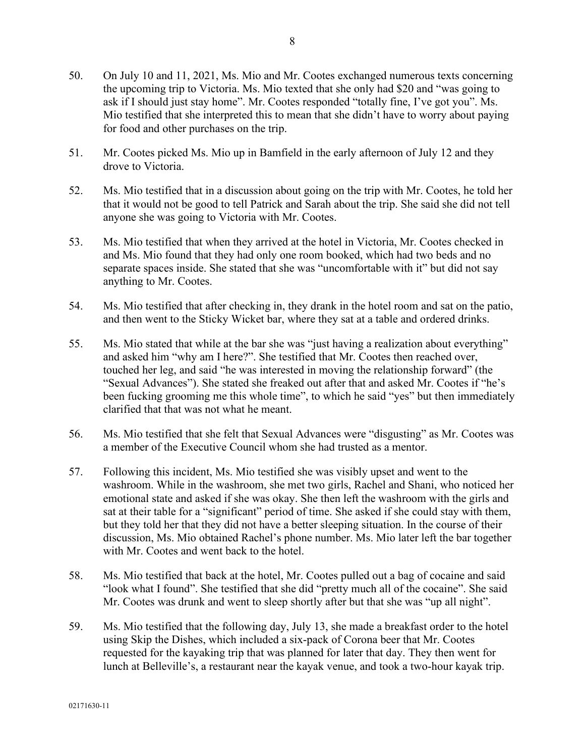- 50. On July 10 and 11, 2021, Ms. Mio and Mr. Cootes exchanged numerous texts concerning the upcoming trip to Victoria. Ms. Mio texted that she only had \$20 and "was going to ask if I should just stay home". Mr. Cootes responded "totally fine, I've got you". Ms. Mio testified that she interpreted this to mean that she didn't have to worry about paying for food and other purchases on the trip.
- 51. Mr. Cootes picked Ms. Mio up in Bamfield in the early afternoon of July 12 and they drove to Victoria.
- 52. Ms. Mio testified that in a discussion about going on the trip with Mr. Cootes, he told her that it would not be good to tell Patrick and Sarah about the trip. She said she did not tell anyone she was going to Victoria with Mr. Cootes.
- 53. Ms. Mio testified that when they arrived at the hotel in Victoria, Mr. Cootes checked in and Ms. Mio found that they had only one room booked, which had two beds and no separate spaces inside. She stated that she was "uncomfortable with it" but did not say anything to Mr. Cootes.
- 54. Ms. Mio testified that after checking in, they drank in the hotel room and sat on the patio, and then went to the Sticky Wicket bar, where they sat at a table and ordered drinks.
- 55. Ms. Mio stated that while at the bar she was "just having a realization about everything" and asked him "why am I here?". She testified that Mr. Cootes then reached over, touched her leg, and said "he was interested in moving the relationship forward" (the "Sexual Advances"). She stated she freaked out after that and asked Mr. Cootes if "he's been fucking grooming me this whole time", to which he said "yes" but then immediately clarified that that was not what he meant.
- 56. Ms. Mio testified that she felt that Sexual Advances were "disgusting" as Mr. Cootes was a member of the Executive Council whom she had trusted as a mentor.
- 57. Following this incident, Ms. Mio testified she was visibly upset and went to the washroom. While in the washroom, she met two girls, Rachel and Shani, who noticed her emotional state and asked if she was okay. She then left the washroom with the girls and sat at their table for a "significant" period of time. She asked if she could stay with them, but they told her that they did not have a better sleeping situation. In the course of their discussion, Ms. Mio obtained Rachel's phone number. Ms. Mio later left the bar together with Mr. Cootes and went back to the hotel.
- 58. Ms. Mio testified that back at the hotel, Mr. Cootes pulled out a bag of cocaine and said "look what I found". She testified that she did "pretty much all of the cocaine". She said Mr. Cootes was drunk and went to sleep shortly after but that she was "up all night".
- 59. Ms. Mio testified that the following day, July 13, she made a breakfast order to the hotel using Skip the Dishes, which included a six-pack of Corona beer that Mr. Cootes requested for the kayaking trip that was planned for later that day. They then went for lunch at Belleville's, a restaurant near the kayak venue, and took a two-hour kayak trip.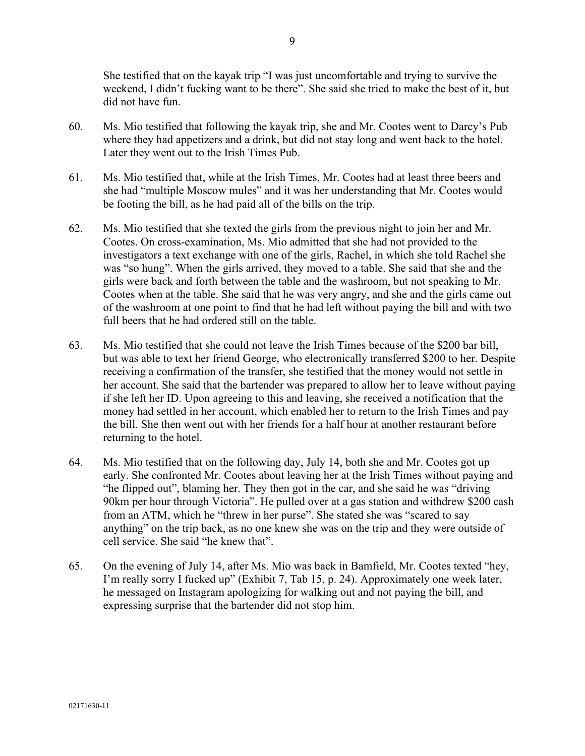She testified that on the kayak trip "I was just uncomfortable and trying to survive the weekend, I didn't fucking want to be there". She said she tried to make the best of it, but did not have fun.

- 60. Ms. Mio testified that following the kayak trip, she and Mr. Cootes went to Darcy's Pub where they had appetizers and a drink, but did not stay long and went back to the hotel. Later they went out to the Irish Times Pub.
- 61. Ms. Mio testified that, while at the Irish Times, Mr. Cootes had at least three beers and she had "multiple Moscow mules" and it was her understanding that Mr. Cootes would be footing the bill, as he had paid all of the bills on the trip.
- 62. Ms. Mio testified that she texted the girls from the previous night to join her and Mr. Cootes. On cross-examination, Ms. Mio admitted that she had not provided to the investigators a text exchange with one of the girls, Rachel, in which she told Rachel she was "so hung". When the girls arrived, they moved to a table. She said that she and the girls were back and forth between the table and the washroom, but not speaking to Mr. Cootes when at the table. She said that he was very angry, and she and the girls came out of the washroom at one point to find that he had left without paying the bill and with two full beers that he had ordered still on the table.
- 63. Ms. Mio testified that she could not leave the Irish Times because of the \$200 bar bill, but was able to text her friend George, who electronically transferred \$200 to her. Despite receiving a confirmation of the transfer, she testified that the money would not settle in her account. She said that the bartender was prepared to allow her to leave without paying if she left her ID. Upon agreeing to this and leaving, she received a notification that the money had settled in her account, which enabled her to return to the Irish Times and pay the bill. She then went out with her friends for a half hour at another restaurant before returning to the hotel.
- 64. Ms. Mio testified that on the following day, July 14, both she and Mr. Cootes got up early. She confronted Mr. Cootes about leaving her at the Irish Times without paying and "he flipped out", blaming her. They then got in the car, and she said he was "driving 90km per hour through Victoria". He pulled over at a gas station and withdrew \$200 cash from an ATM, which he "threw in her purse". She stated she was "scared to say anything" on the trip back, as no one knew she was on the trip and they were outside of cell service. She said "he knew that".
- 65. On the evening of July 14, after Ms. Mio was back in Bamfield, Mr. Cootes texted "hey, I'm really sorry I fucked up" (Exhibit 7, Tab 15, p. 24). Approximately one week later, he messaged on Instagram apologizing for walking out and not paying the bill, and expressing surprise that the bartender did not stop him.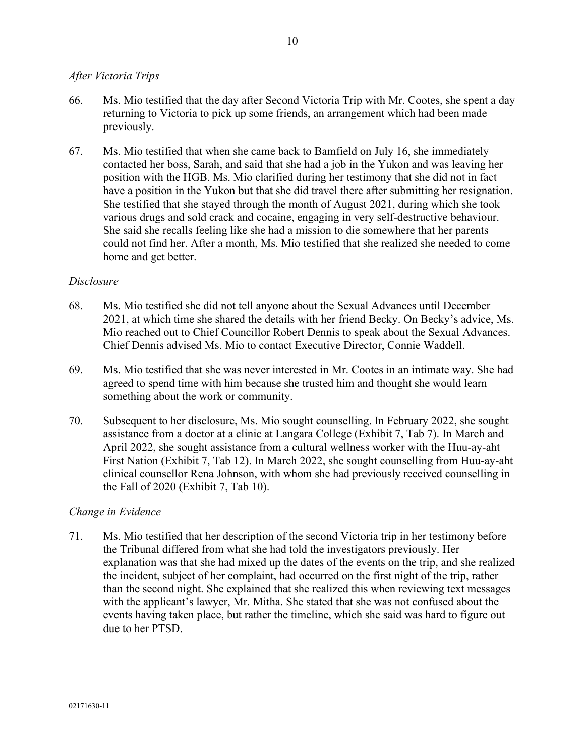## *After Victoria Trips*

- 66. Ms. Mio testified that the day after Second Victoria Trip with Mr. Cootes, she spent a day returning to Victoria to pick up some friends, an arrangement which had been made previously.
- 67. Ms. Mio testified that when she came back to Bamfield on July 16, she immediately contacted her boss, Sarah, and said that she had a job in the Yukon and was leaving her position with the HGB. Ms. Mio clarified during her testimony that she did not in fact have a position in the Yukon but that she did travel there after submitting her resignation. She testified that she stayed through the month of August 2021, during which she took various drugs and sold crack and cocaine, engaging in very self-destructive behaviour. She said she recalls feeling like she had a mission to die somewhere that her parents could not find her. After a month, Ms. Mio testified that she realized she needed to come home and get better.

## *Disclosure*

- 68. Ms. Mio testified she did not tell anyone about the Sexual Advances until December 2021, at which time she shared the details with her friend Becky. On Becky's advice, Ms. Mio reached out to Chief Councillor Robert Dennis to speak about the Sexual Advances. Chief Dennis advised Ms. Mio to contact Executive Director, Connie Waddell.
- 69. Ms. Mio testified that she was never interested in Mr. Cootes in an intimate way. She had agreed to spend time with him because she trusted him and thought she would learn something about the work or community.
- 70. Subsequent to her disclosure, Ms. Mio sought counselling. In February 2022, she sought assistance from a doctor at a clinic at Langara College (Exhibit 7, Tab 7). In March and April 2022, she sought assistance from a cultural wellness worker with the Huu-ay-aht First Nation (Exhibit 7, Tab 12). In March 2022, she sought counselling from Huu-ay-aht clinical counsellor Rena Johnson, with whom she had previously received counselling in the Fall of 2020 (Exhibit 7, Tab 10).

### *Change in Evidence*

71. Ms. Mio testified that her description of the second Victoria trip in her testimony before the Tribunal differed from what she had told the investigators previously. Her explanation was that she had mixed up the dates of the events on the trip, and she realized the incident, subject of her complaint, had occurred on the first night of the trip, rather than the second night. She explained that she realized this when reviewing text messages with the applicant's lawyer, Mr. Mitha. She stated that she was not confused about the events having taken place, but rather the timeline, which she said was hard to figure out due to her PTSD.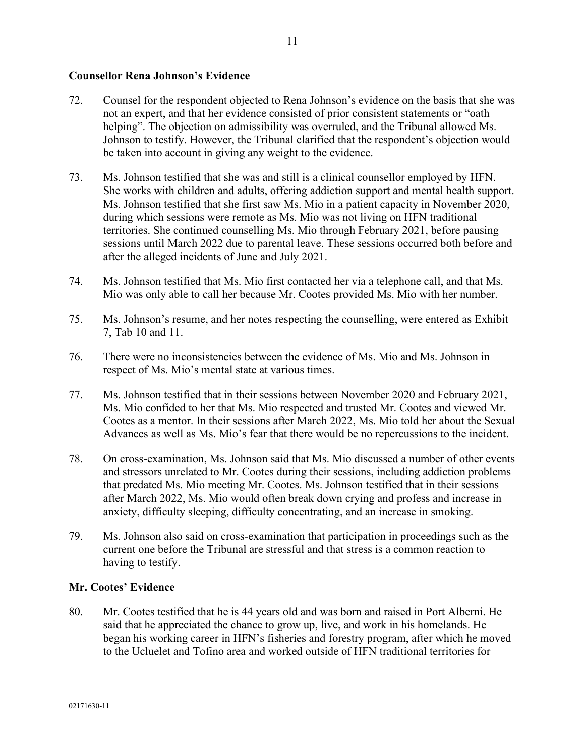## **Counsellor Rena Johnson's Evidence**

- 72. Counsel for the respondent objected to Rena Johnson's evidence on the basis that she was not an expert, and that her evidence consisted of prior consistent statements or "oath helping". The objection on admissibility was overruled, and the Tribunal allowed Ms. Johnson to testify. However, the Tribunal clarified that the respondent's objection would be taken into account in giving any weight to the evidence.
- 73. Ms. Johnson testified that she was and still is a clinical counsellor employed by HFN. She works with children and adults, offering addiction support and mental health support. Ms. Johnson testified that she first saw Ms. Mio in a patient capacity in November 2020, during which sessions were remote as Ms. Mio was not living on HFN traditional territories. She continued counselling Ms. Mio through February 2021, before pausing sessions until March 2022 due to parental leave. These sessions occurred both before and after the alleged incidents of June and July 2021.
- 74. Ms. Johnson testified that Ms. Mio first contacted her via a telephone call, and that Ms. Mio was only able to call her because Mr. Cootes provided Ms. Mio with her number.
- 75. Ms. Johnson's resume, and her notes respecting the counselling, were entered as Exhibit 7, Tab 10 and 11.
- 76. There were no inconsistencies between the evidence of Ms. Mio and Ms. Johnson in respect of Ms. Mio's mental state at various times.
- 77. Ms. Johnson testified that in their sessions between November 2020 and February 2021, Ms. Mio confided to her that Ms. Mio respected and trusted Mr. Cootes and viewed Mr. Cootes as a mentor. In their sessions after March 2022, Ms. Mio told her about the Sexual Advances as well as Ms. Mio's fear that there would be no repercussions to the incident.
- 78. On cross-examination, Ms. Johnson said that Ms. Mio discussed a number of other events and stressors unrelated to Mr. Cootes during their sessions, including addiction problems that predated Ms. Mio meeting Mr. Cootes. Ms. Johnson testified that in their sessions after March 2022, Ms. Mio would often break down crying and profess and increase in anxiety, difficulty sleeping, difficulty concentrating, and an increase in smoking.
- 79. Ms. Johnson also said on cross-examination that participation in proceedings such as the current one before the Tribunal are stressful and that stress is a common reaction to having to testify.

### **Mr. Cootes' Evidence**

80. Mr. Cootes testified that he is 44 years old and was born and raised in Port Alberni. He said that he appreciated the chance to grow up, live, and work in his homelands. He began his working career in HFN's fisheries and forestry program, after which he moved to the Ucluelet and Tofino area and worked outside of HFN traditional territories for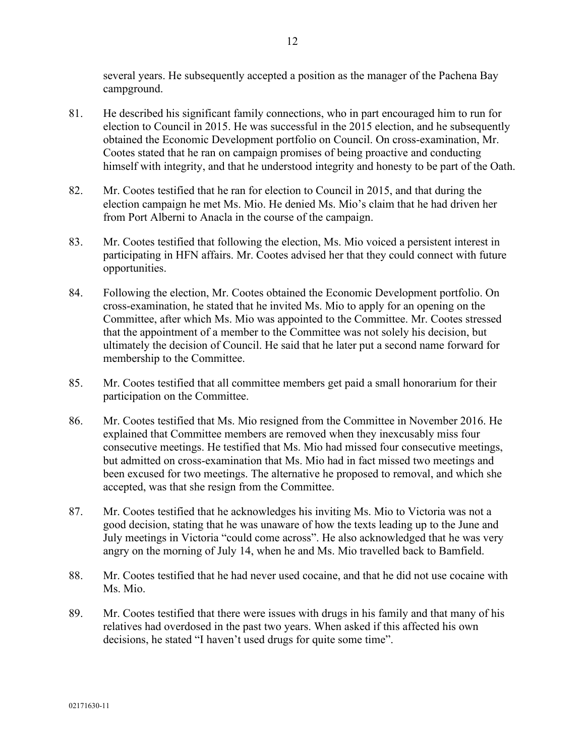several years. He subsequently accepted a position as the manager of the Pachena Bay campground.

- 81. He described his significant family connections, who in part encouraged him to run for election to Council in 2015. He was successful in the 2015 election, and he subsequently obtained the Economic Development portfolio on Council. On cross-examination, Mr. Cootes stated that he ran on campaign promises of being proactive and conducting himself with integrity, and that he understood integrity and honesty to be part of the Oath.
- 82. Mr. Cootes testified that he ran for election to Council in 2015, and that during the election campaign he met Ms. Mio. He denied Ms. Mio's claim that he had driven her from Port Alberni to Anacla in the course of the campaign.
- 83. Mr. Cootes testified that following the election, Ms. Mio voiced a persistent interest in participating in HFN affairs. Mr. Cootes advised her that they could connect with future opportunities.
- 84. Following the election, Mr. Cootes obtained the Economic Development portfolio. On cross-examination, he stated that he invited Ms. Mio to apply for an opening on the Committee, after which Ms. Mio was appointed to the Committee. Mr. Cootes stressed that the appointment of a member to the Committee was not solely his decision, but ultimately the decision of Council. He said that he later put a second name forward for membership to the Committee.
- 85. Mr. Cootes testified that all committee members get paid a small honorarium for their participation on the Committee.
- 86. Mr. Cootes testified that Ms. Mio resigned from the Committee in November 2016. He explained that Committee members are removed when they inexcusably miss four consecutive meetings. He testified that Ms. Mio had missed four consecutive meetings, but admitted on cross-examination that Ms. Mio had in fact missed two meetings and been excused for two meetings. The alternative he proposed to removal, and which she accepted, was that she resign from the Committee.
- 87. Mr. Cootes testified that he acknowledges his inviting Ms. Mio to Victoria was not a good decision, stating that he was unaware of how the texts leading up to the June and July meetings in Victoria "could come across". He also acknowledged that he was very angry on the morning of July 14, when he and Ms. Mio travelled back to Bamfield.
- 88. Mr. Cootes testified that he had never used cocaine, and that he did not use cocaine with Ms. Mio.
- 89. Mr. Cootes testified that there were issues with drugs in his family and that many of his relatives had overdosed in the past two years. When asked if this affected his own decisions, he stated "I haven't used drugs for quite some time".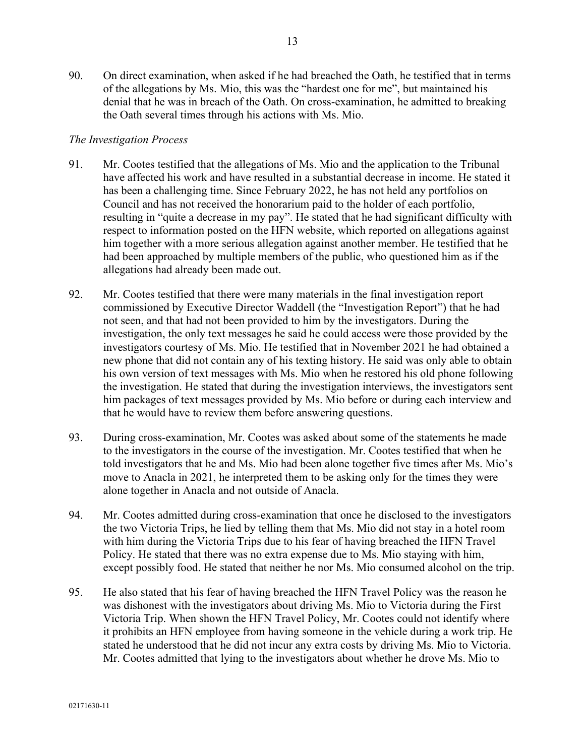90. On direct examination, when asked if he had breached the Oath, he testified that in terms of the allegations by Ms. Mio, this was the "hardest one for me", but maintained his denial that he was in breach of the Oath. On cross-examination, he admitted to breaking the Oath several times through his actions with Ms. Mio.

## *The Investigation Process*

- 91. Mr. Cootes testified that the allegations of Ms. Mio and the application to the Tribunal have affected his work and have resulted in a substantial decrease in income. He stated it has been a challenging time. Since February 2022, he has not held any portfolios on Council and has not received the honorarium paid to the holder of each portfolio, resulting in "quite a decrease in my pay". He stated that he had significant difficulty with respect to information posted on the HFN website, which reported on allegations against him together with a more serious allegation against another member. He testified that he had been approached by multiple members of the public, who questioned him as if the allegations had already been made out.
- 92. Mr. Cootes testified that there were many materials in the final investigation report commissioned by Executive Director Waddell (the "Investigation Report") that he had not seen, and that had not been provided to him by the investigators. During the investigation, the only text messages he said he could access were those provided by the investigators courtesy of Ms. Mio. He testified that in November 2021 he had obtained a new phone that did not contain any of his texting history. He said was only able to obtain his own version of text messages with Ms. Mio when he restored his old phone following the investigation. He stated that during the investigation interviews, the investigators sent him packages of text messages provided by Ms. Mio before or during each interview and that he would have to review them before answering questions.
- 93. During cross-examination, Mr. Cootes was asked about some of the statements he made to the investigators in the course of the investigation. Mr. Cootes testified that when he told investigators that he and Ms. Mio had been alone together five times after Ms. Mio's move to Anacla in 2021, he interpreted them to be asking only for the times they were alone together in Anacla and not outside of Anacla.
- 94. Mr. Cootes admitted during cross-examination that once he disclosed to the investigators the two Victoria Trips, he lied by telling them that Ms. Mio did not stay in a hotel room with him during the Victoria Trips due to his fear of having breached the HFN Travel Policy. He stated that there was no extra expense due to Ms. Mio staying with him, except possibly food. He stated that neither he nor Ms. Mio consumed alcohol on the trip.
- 95. He also stated that his fear of having breached the HFN Travel Policy was the reason he was dishonest with the investigators about driving Ms. Mio to Victoria during the First Victoria Trip. When shown the HFN Travel Policy, Mr. Cootes could not identify where it prohibits an HFN employee from having someone in the vehicle during a work trip. He stated he understood that he did not incur any extra costs by driving Ms. Mio to Victoria. Mr. Cootes admitted that lying to the investigators about whether he drove Ms. Mio to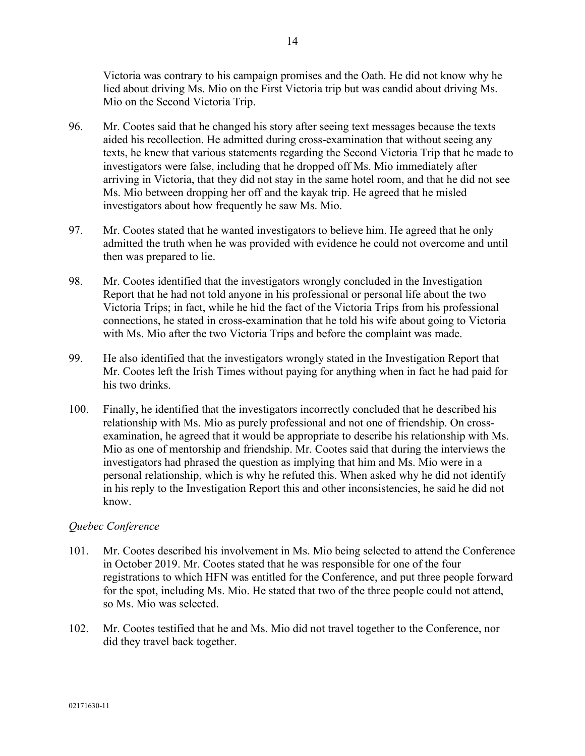Victoria was contrary to his campaign promises and the Oath. He did not know why he lied about driving Ms. Mio on the First Victoria trip but was candid about driving Ms. Mio on the Second Victoria Trip.

- 96. Mr. Cootes said that he changed his story after seeing text messages because the texts aided his recollection. He admitted during cross-examination that without seeing any texts, he knew that various statements regarding the Second Victoria Trip that he made to investigators were false, including that he dropped off Ms. Mio immediately after arriving in Victoria, that they did not stay in the same hotel room, and that he did not see Ms. Mio between dropping her off and the kayak trip. He agreed that he misled investigators about how frequently he saw Ms. Mio.
- 97. Mr. Cootes stated that he wanted investigators to believe him. He agreed that he only admitted the truth when he was provided with evidence he could not overcome and until then was prepared to lie.
- 98. Mr. Cootes identified that the investigators wrongly concluded in the Investigation Report that he had not told anyone in his professional or personal life about the two Victoria Trips; in fact, while he hid the fact of the Victoria Trips from his professional connections, he stated in cross-examination that he told his wife about going to Victoria with Ms. Mio after the two Victoria Trips and before the complaint was made.
- 99. He also identified that the investigators wrongly stated in the Investigation Report that Mr. Cootes left the Irish Times without paying for anything when in fact he had paid for his two drinks.
- 100. Finally, he identified that the investigators incorrectly concluded that he described his relationship with Ms. Mio as purely professional and not one of friendship. On crossexamination, he agreed that it would be appropriate to describe his relationship with Ms. Mio as one of mentorship and friendship. Mr. Cootes said that during the interviews the investigators had phrased the question as implying that him and Ms. Mio were in a personal relationship, which is why he refuted this. When asked why he did not identify in his reply to the Investigation Report this and other inconsistencies, he said he did not know.

# *Quebec Conference*

- 101. Mr. Cootes described his involvement in Ms. Mio being selected to attend the Conference in October 2019. Mr. Cootes stated that he was responsible for one of the four registrations to which HFN was entitled for the Conference, and put three people forward for the spot, including Ms. Mio. He stated that two of the three people could not attend, so Ms. Mio was selected.
- 102. Mr. Cootes testified that he and Ms. Mio did not travel together to the Conference, nor did they travel back together.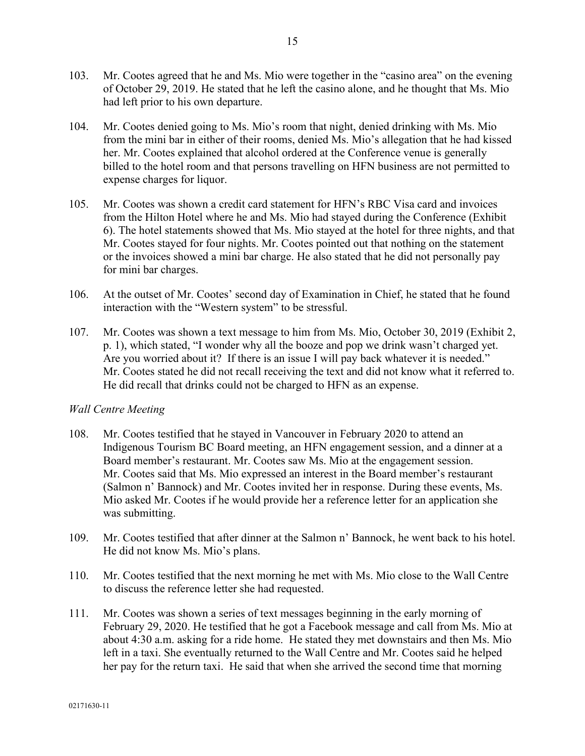- 103. Mr. Cootes agreed that he and Ms. Mio were together in the "casino area" on the evening of October 29, 2019. He stated that he left the casino alone, and he thought that Ms. Mio had left prior to his own departure.
- 104. Mr. Cootes denied going to Ms. Mio's room that night, denied drinking with Ms. Mio from the mini bar in either of their rooms, denied Ms. Mio's allegation that he had kissed her. Mr. Cootes explained that alcohol ordered at the Conference venue is generally billed to the hotel room and that persons travelling on HFN business are not permitted to expense charges for liquor.
- 105. Mr. Cootes was shown a credit card statement for HFN's RBC Visa card and invoices from the Hilton Hotel where he and Ms. Mio had stayed during the Conference (Exhibit 6). The hotel statements showed that Ms. Mio stayed at the hotel for three nights, and that Mr. Cootes stayed for four nights. Mr. Cootes pointed out that nothing on the statement or the invoices showed a mini bar charge. He also stated that he did not personally pay for mini bar charges.
- 106. At the outset of Mr. Cootes' second day of Examination in Chief, he stated that he found interaction with the "Western system" to be stressful.
- 107. Mr. Cootes was shown a text message to him from Ms. Mio, October 30, 2019 (Exhibit 2, p. 1), which stated, "I wonder why all the booze and pop we drink wasn't charged yet. Are you worried about it? If there is an issue I will pay back whatever it is needed." Mr. Cootes stated he did not recall receiving the text and did not know what it referred to. He did recall that drinks could not be charged to HFN as an expense.

# *Wall Centre Meeting*

- 108. Mr. Cootes testified that he stayed in Vancouver in February 2020 to attend an Indigenous Tourism BC Board meeting, an HFN engagement session, and a dinner at a Board member's restaurant. Mr. Cootes saw Ms. Mio at the engagement session. Mr. Cootes said that Ms. Mio expressed an interest in the Board member's restaurant (Salmon n' Bannock) and Mr. Cootes invited her in response. During these events, Ms. Mio asked Mr. Cootes if he would provide her a reference letter for an application she was submitting.
- 109. Mr. Cootes testified that after dinner at the Salmon n' Bannock, he went back to his hotel. He did not know Ms. Mio's plans.
- 110. Mr. Cootes testified that the next morning he met with Ms. Mio close to the Wall Centre to discuss the reference letter she had requested.
- 111. Mr. Cootes was shown a series of text messages beginning in the early morning of February 29, 2020. He testified that he got a Facebook message and call from Ms. Mio at about 4:30 a.m. asking for a ride home. He stated they met downstairs and then Ms. Mio left in a taxi. She eventually returned to the Wall Centre and Mr. Cootes said he helped her pay for the return taxi. He said that when she arrived the second time that morning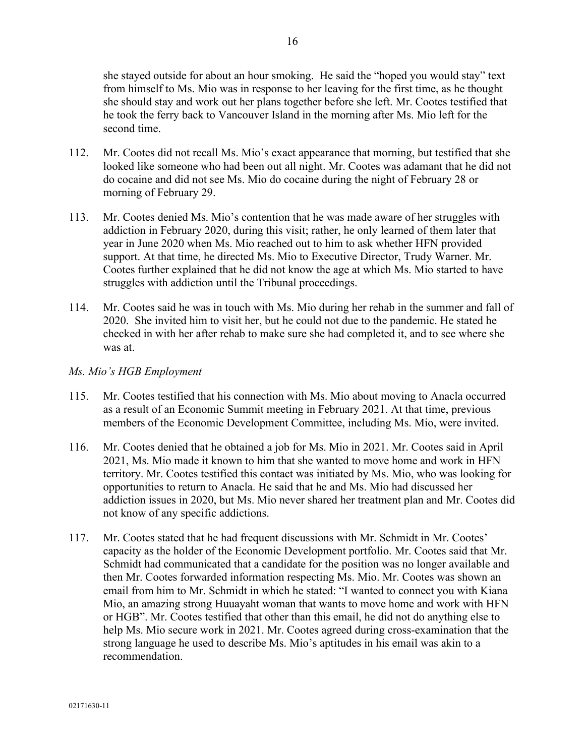she stayed outside for about an hour smoking. He said the "hoped you would stay" text from himself to Ms. Mio was in response to her leaving for the first time, as he thought she should stay and work out her plans together before she left. Mr. Cootes testified that he took the ferry back to Vancouver Island in the morning after Ms. Mio left for the second time.

- 112. Mr. Cootes did not recall Ms. Mio's exact appearance that morning, but testified that she looked like someone who had been out all night. Mr. Cootes was adamant that he did not do cocaine and did not see Ms. Mio do cocaine during the night of February 28 or morning of February 29.
- 113. Mr. Cootes denied Ms. Mio's contention that he was made aware of her struggles with addiction in February 2020, during this visit; rather, he only learned of them later that year in June 2020 when Ms. Mio reached out to him to ask whether HFN provided support. At that time, he directed Ms. Mio to Executive Director, Trudy Warner. Mr. Cootes further explained that he did not know the age at which Ms. Mio started to have struggles with addiction until the Tribunal proceedings.
- 114. Mr. Cootes said he was in touch with Ms. Mio during her rehab in the summer and fall of 2020. She invited him to visit her, but he could not due to the pandemic. He stated he checked in with her after rehab to make sure she had completed it, and to see where she was at.

# *Ms. Mio's HGB Employment*

- 115. Mr. Cootes testified that his connection with Ms. Mio about moving to Anacla occurred as a result of an Economic Summit meeting in February 2021. At that time, previous members of the Economic Development Committee, including Ms. Mio, were invited.
- 116. Mr. Cootes denied that he obtained a job for Ms. Mio in 2021. Mr. Cootes said in April 2021, Ms. Mio made it known to him that she wanted to move home and work in HFN territory. Mr. Cootes testified this contact was initiated by Ms. Mio, who was looking for opportunities to return to Anacla. He said that he and Ms. Mio had discussed her addiction issues in 2020, but Ms. Mio never shared her treatment plan and Mr. Cootes did not know of any specific addictions.
- 117. Mr. Cootes stated that he had frequent discussions with Mr. Schmidt in Mr. Cootes' capacity as the holder of the Economic Development portfolio. Mr. Cootes said that Mr. Schmidt had communicated that a candidate for the position was no longer available and then Mr. Cootes forwarded information respecting Ms. Mio. Mr. Cootes was shown an email from him to Mr. Schmidt in which he stated: "I wanted to connect you with Kiana Mio, an amazing strong Huuayaht woman that wants to move home and work with HFN or HGB". Mr. Cootes testified that other than this email, he did not do anything else to help Ms. Mio secure work in 2021. Mr. Cootes agreed during cross-examination that the strong language he used to describe Ms. Mio's aptitudes in his email was akin to a recommendation.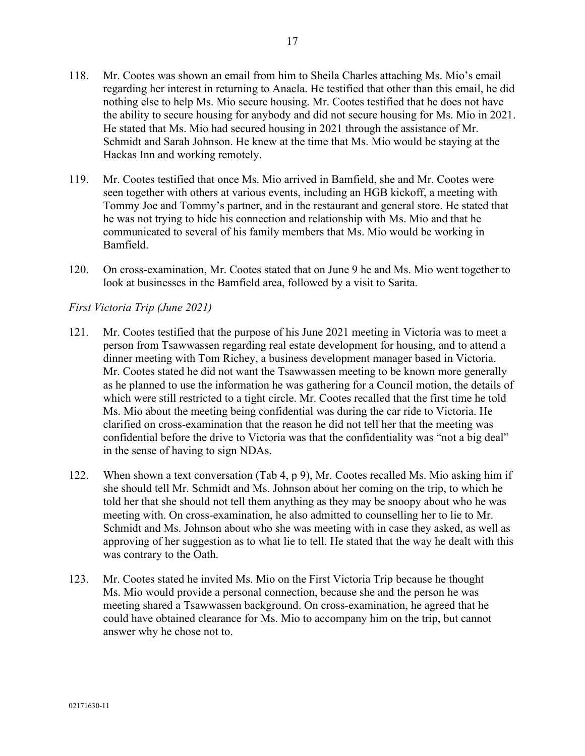- 118. Mr. Cootes was shown an email from him to Sheila Charles attaching Ms. Mio's email regarding her interest in returning to Anacla. He testified that other than this email, he did nothing else to help Ms. Mio secure housing. Mr. Cootes testified that he does not have the ability to secure housing for anybody and did not secure housing for Ms. Mio in 2021. He stated that Ms. Mio had secured housing in 2021 through the assistance of Mr. Schmidt and Sarah Johnson. He knew at the time that Ms. Mio would be staying at the Hackas Inn and working remotely.
- 119. Mr. Cootes testified that once Ms. Mio arrived in Bamfield, she and Mr. Cootes were seen together with others at various events, including an HGB kickoff, a meeting with Tommy Joe and Tommy's partner, and in the restaurant and general store. He stated that he was not trying to hide his connection and relationship with Ms. Mio and that he communicated to several of his family members that Ms. Mio would be working in Bamfield.
- 120. On cross-examination, Mr. Cootes stated that on June 9 he and Ms. Mio went together to look at businesses in the Bamfield area, followed by a visit to Sarita.

## *First Victoria Trip (June 2021)*

- 121. Mr. Cootes testified that the purpose of his June 2021 meeting in Victoria was to meet a person from Tsawwassen regarding real estate development for housing, and to attend a dinner meeting with Tom Richey, a business development manager based in Victoria. Mr. Cootes stated he did not want the Tsawwassen meeting to be known more generally as he planned to use the information he was gathering for a Council motion, the details of which were still restricted to a tight circle. Mr. Cootes recalled that the first time he told Ms. Mio about the meeting being confidential was during the car ride to Victoria. He clarified on cross-examination that the reason he did not tell her that the meeting was confidential before the drive to Victoria was that the confidentiality was "not a big deal" in the sense of having to sign NDAs.
- 122. When shown a text conversation (Tab 4, p 9), Mr. Cootes recalled Ms. Mio asking him if she should tell Mr. Schmidt and Ms. Johnson about her coming on the trip, to which he told her that she should not tell them anything as they may be snoopy about who he was meeting with. On cross-examination, he also admitted to counselling her to lie to Mr. Schmidt and Ms. Johnson about who she was meeting with in case they asked, as well as approving of her suggestion as to what lie to tell. He stated that the way he dealt with this was contrary to the Oath.
- 123. Mr. Cootes stated he invited Ms. Mio on the First Victoria Trip because he thought Ms. Mio would provide a personal connection, because she and the person he was meeting shared a Tsawwassen background. On cross-examination, he agreed that he could have obtained clearance for Ms. Mio to accompany him on the trip, but cannot answer why he chose not to.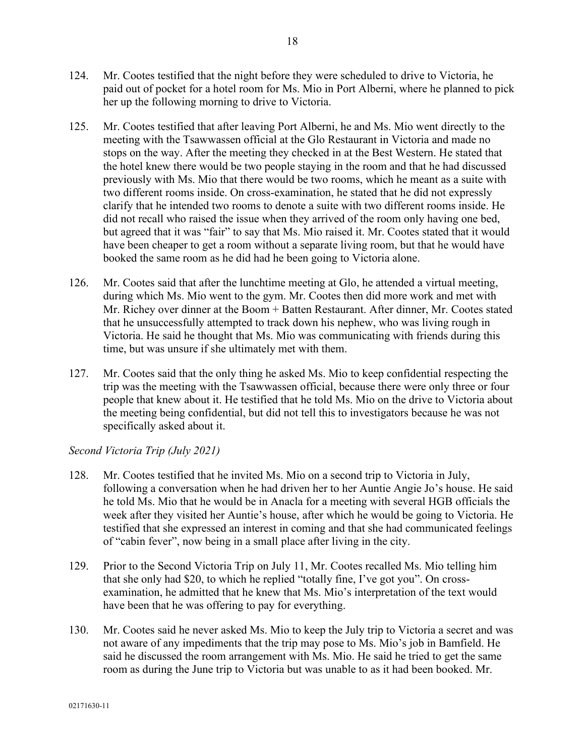- 124. Mr. Cootes testified that the night before they were scheduled to drive to Victoria, he paid out of pocket for a hotel room for Ms. Mio in Port Alberni, where he planned to pick her up the following morning to drive to Victoria.
- 125. Mr. Cootes testified that after leaving Port Alberni, he and Ms. Mio went directly to the meeting with the Tsawwassen official at the Glo Restaurant in Victoria and made no stops on the way. After the meeting they checked in at the Best Western. He stated that the hotel knew there would be two people staying in the room and that he had discussed previously with Ms. Mio that there would be two rooms, which he meant as a suite with two different rooms inside. On cross-examination, he stated that he did not expressly clarify that he intended two rooms to denote a suite with two different rooms inside. He did not recall who raised the issue when they arrived of the room only having one bed, but agreed that it was "fair" to say that Ms. Mio raised it. Mr. Cootes stated that it would have been cheaper to get a room without a separate living room, but that he would have booked the same room as he did had he been going to Victoria alone.
- 126. Mr. Cootes said that after the lunchtime meeting at Glo, he attended a virtual meeting, during which Ms. Mio went to the gym. Mr. Cootes then did more work and met with Mr. Richey over dinner at the Boom + Batten Restaurant. After dinner, Mr. Cootes stated that he unsuccessfully attempted to track down his nephew, who was living rough in Victoria. He said he thought that Ms. Mio was communicating with friends during this time, but was unsure if she ultimately met with them.
- 127. Mr. Cootes said that the only thing he asked Ms. Mio to keep confidential respecting the trip was the meeting with the Tsawwassen official, because there were only three or four people that knew about it. He testified that he told Ms. Mio on the drive to Victoria about the meeting being confidential, but did not tell this to investigators because he was not specifically asked about it.

# *Second Victoria Trip (July 2021)*

- 128. Mr. Cootes testified that he invited Ms. Mio on a second trip to Victoria in July, following a conversation when he had driven her to her Auntie Angie Jo's house. He said he told Ms. Mio that he would be in Anacla for a meeting with several HGB officials the week after they visited her Auntie's house, after which he would be going to Victoria. He testified that she expressed an interest in coming and that she had communicated feelings of "cabin fever", now being in a small place after living in the city.
- 129. Prior to the Second Victoria Trip on July 11, Mr. Cootes recalled Ms. Mio telling him that she only had \$20, to which he replied "totally fine, I've got you". On crossexamination, he admitted that he knew that Ms. Mio's interpretation of the text would have been that he was offering to pay for everything.
- 130. Mr. Cootes said he never asked Ms. Mio to keep the July trip to Victoria a secret and was not aware of any impediments that the trip may pose to Ms. Mio's job in Bamfield. He said he discussed the room arrangement with Ms. Mio. He said he tried to get the same room as during the June trip to Victoria but was unable to as it had been booked. Mr.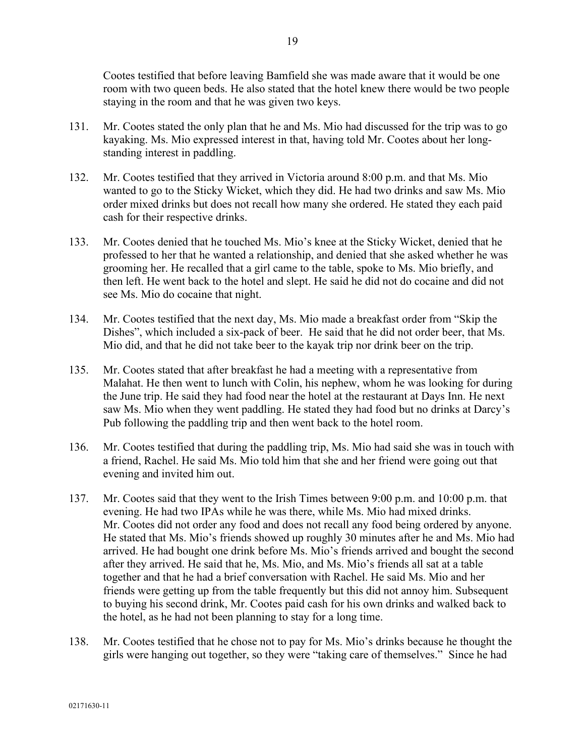Cootes testified that before leaving Bamfield she was made aware that it would be one room with two queen beds. He also stated that the hotel knew there would be two people staying in the room and that he was given two keys.

- 131. Mr. Cootes stated the only plan that he and Ms. Mio had discussed for the trip was to go kayaking. Ms. Mio expressed interest in that, having told Mr. Cootes about her longstanding interest in paddling.
- 132. Mr. Cootes testified that they arrived in Victoria around 8:00 p.m. and that Ms. Mio wanted to go to the Sticky Wicket, which they did. He had two drinks and saw Ms. Mio order mixed drinks but does not recall how many she ordered. He stated they each paid cash for their respective drinks.
- 133. Mr. Cootes denied that he touched Ms. Mio's knee at the Sticky Wicket, denied that he professed to her that he wanted a relationship, and denied that she asked whether he was grooming her. He recalled that a girl came to the table, spoke to Ms. Mio briefly, and then left. He went back to the hotel and slept. He said he did not do cocaine and did not see Ms. Mio do cocaine that night.
- 134. Mr. Cootes testified that the next day, Ms. Mio made a breakfast order from "Skip the Dishes", which included a six-pack of beer. He said that he did not order beer, that Ms. Mio did, and that he did not take beer to the kayak trip nor drink beer on the trip.
- 135. Mr. Cootes stated that after breakfast he had a meeting with a representative from Malahat. He then went to lunch with Colin, his nephew, whom he was looking for during the June trip. He said they had food near the hotel at the restaurant at Days Inn. He next saw Ms. Mio when they went paddling. He stated they had food but no drinks at Darcy's Pub following the paddling trip and then went back to the hotel room.
- 136. Mr. Cootes testified that during the paddling trip, Ms. Mio had said she was in touch with a friend, Rachel. He said Ms. Mio told him that she and her friend were going out that evening and invited him out.
- 137. Mr. Cootes said that they went to the Irish Times between 9:00 p.m. and 10:00 p.m. that evening. He had two IPAs while he was there, while Ms. Mio had mixed drinks. Mr. Cootes did not order any food and does not recall any food being ordered by anyone. He stated that Ms. Mio's friends showed up roughly 30 minutes after he and Ms. Mio had arrived. He had bought one drink before Ms. Mio's friends arrived and bought the second after they arrived. He said that he, Ms. Mio, and Ms. Mio's friends all sat at a table together and that he had a brief conversation with Rachel. He said Ms. Mio and her friends were getting up from the table frequently but this did not annoy him. Subsequent to buying his second drink, Mr. Cootes paid cash for his own drinks and walked back to the hotel, as he had not been planning to stay for a long time.
- 138. Mr. Cootes testified that he chose not to pay for Ms. Mio's drinks because he thought the girls were hanging out together, so they were "taking care of themselves." Since he had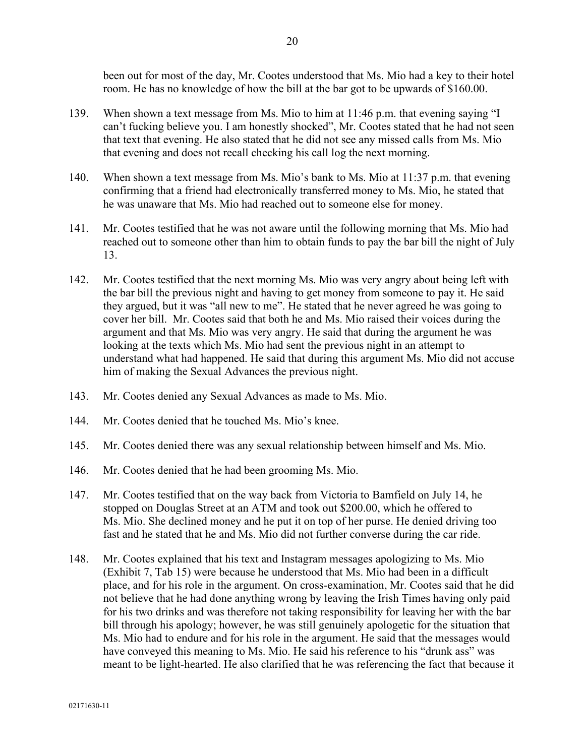been out for most of the day, Mr. Cootes understood that Ms. Mio had a key to their hotel room. He has no knowledge of how the bill at the bar got to be upwards of \$160.00.

- 139. When shown a text message from Ms. Mio to him at 11:46 p.m. that evening saying "I can't fucking believe you. I am honestly shocked", Mr. Cootes stated that he had not seen that text that evening. He also stated that he did not see any missed calls from Ms. Mio that evening and does not recall checking his call log the next morning.
- 140. When shown a text message from Ms. Mio's bank to Ms. Mio at 11:37 p.m. that evening confirming that a friend had electronically transferred money to Ms. Mio, he stated that he was unaware that Ms. Mio had reached out to someone else for money.
- 141. Mr. Cootes testified that he was not aware until the following morning that Ms. Mio had reached out to someone other than him to obtain funds to pay the bar bill the night of July 13.
- 142. Mr. Cootes testified that the next morning Ms. Mio was very angry about being left with the bar bill the previous night and having to get money from someone to pay it. He said they argued, but it was "all new to me". He stated that he never agreed he was going to cover her bill. Mr. Cootes said that both he and Ms. Mio raised their voices during the argument and that Ms. Mio was very angry. He said that during the argument he was looking at the texts which Ms. Mio had sent the previous night in an attempt to understand what had happened. He said that during this argument Ms. Mio did not accuse him of making the Sexual Advances the previous night.
- 143. Mr. Cootes denied any Sexual Advances as made to Ms. Mio.
- 144. Mr. Cootes denied that he touched Ms. Mio's knee.
- 145. Mr. Cootes denied there was any sexual relationship between himself and Ms. Mio.
- 146. Mr. Cootes denied that he had been grooming Ms. Mio.
- 147. Mr. Cootes testified that on the way back from Victoria to Bamfield on July 14, he stopped on Douglas Street at an ATM and took out \$200.00, which he offered to Ms. Mio. She declined money and he put it on top of her purse. He denied driving too fast and he stated that he and Ms. Mio did not further converse during the car ride.
- 148. Mr. Cootes explained that his text and Instagram messages apologizing to Ms. Mio (Exhibit 7, Tab 15) were because he understood that Ms. Mio had been in a difficult place, and for his role in the argument. On cross-examination, Mr. Cootes said that he did not believe that he had done anything wrong by leaving the Irish Times having only paid for his two drinks and was therefore not taking responsibility for leaving her with the bar bill through his apology; however, he was still genuinely apologetic for the situation that Ms. Mio had to endure and for his role in the argument. He said that the messages would have conveyed this meaning to Ms. Mio. He said his reference to his "drunk ass" was meant to be light-hearted. He also clarified that he was referencing the fact that because it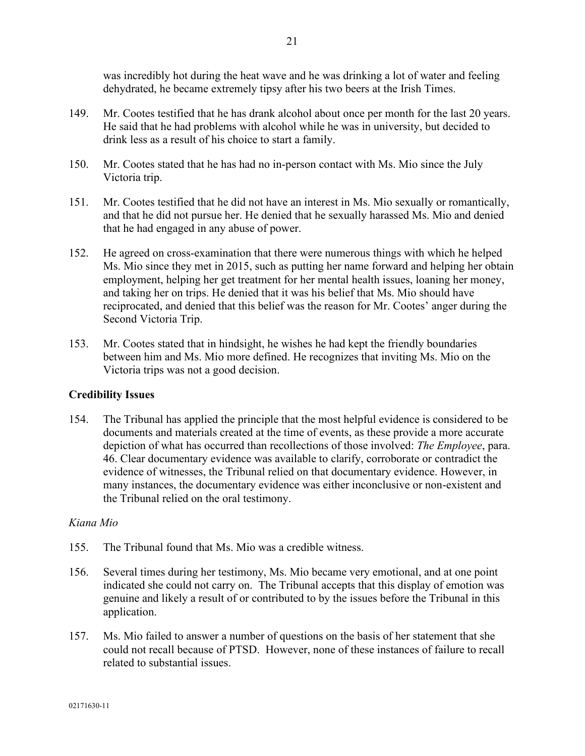was incredibly hot during the heat wave and he was drinking a lot of water and feeling dehydrated, he became extremely tipsy after his two beers at the Irish Times.

- 149. Mr. Cootes testified that he has drank alcohol about once per month for the last 20 years. He said that he had problems with alcohol while he was in university, but decided to drink less as a result of his choice to start a family.
- 150. Mr. Cootes stated that he has had no in-person contact with Ms. Mio since the July Victoria trip.
- 151. Mr. Cootes testified that he did not have an interest in Ms. Mio sexually or romantically, and that he did not pursue her. He denied that he sexually harassed Ms. Mio and denied that he had engaged in any abuse of power.
- 152. He agreed on cross-examination that there were numerous things with which he helped Ms. Mio since they met in 2015, such as putting her name forward and helping her obtain employment, helping her get treatment for her mental health issues, loaning her money, and taking her on trips. He denied that it was his belief that Ms. Mio should have reciprocated, and denied that this belief was the reason for Mr. Cootes' anger during the Second Victoria Trip.
- 153. Mr. Cootes stated that in hindsight, he wishes he had kept the friendly boundaries between him and Ms. Mio more defined. He recognizes that inviting Ms. Mio on the Victoria trips was not a good decision.

# **Credibility Issues**

154. The Tribunal has applied the principle that the most helpful evidence is considered to be documents and materials created at the time of events, as these provide a more accurate depiction of what has occurred than recollections of those involved: *The Employee*, para. 46. Clear documentary evidence was available to clarify, corroborate or contradict the evidence of witnesses, the Tribunal relied on that documentary evidence. However, in many instances, the documentary evidence was either inconclusive or non-existent and the Tribunal relied on the oral testimony.

# *Kiana Mio*

- 155. The Tribunal found that Ms. Mio was a credible witness.
- 156. Several times during her testimony, Ms. Mio became very emotional, and at one point indicated she could not carry on. The Tribunal accepts that this display of emotion was genuine and likely a result of or contributed to by the issues before the Tribunal in this application.
- 157. Ms. Mio failed to answer a number of questions on the basis of her statement that she could not recall because of PTSD. However, none of these instances of failure to recall related to substantial issues.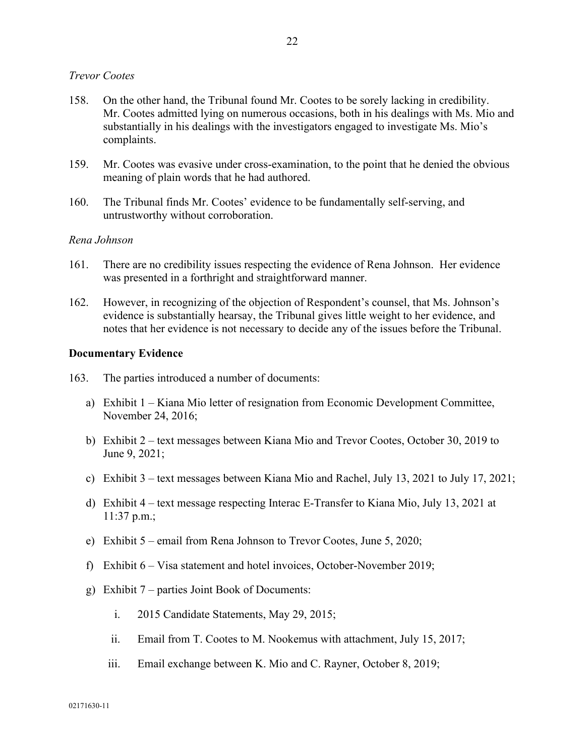## *Trevor Cootes*

- 158. On the other hand, the Tribunal found Mr. Cootes to be sorely lacking in credibility. Mr. Cootes admitted lying on numerous occasions, both in his dealings with Ms. Mio and substantially in his dealings with the investigators engaged to investigate Ms. Mio's complaints.
- 159. Mr. Cootes was evasive under cross-examination, to the point that he denied the obvious meaning of plain words that he had authored.
- 160. The Tribunal finds Mr. Cootes' evidence to be fundamentally self-serving, and untrustworthy without corroboration.

#### *Rena Johnson*

- 161. There are no credibility issues respecting the evidence of Rena Johnson. Her evidence was presented in a forthright and straightforward manner.
- 162. However, in recognizing of the objection of Respondent's counsel, that Ms. Johnson's evidence is substantially hearsay, the Tribunal gives little weight to her evidence, and notes that her evidence is not necessary to decide any of the issues before the Tribunal.

#### **Documentary Evidence**

- 163. The parties introduced a number of documents:
	- a) Exhibit 1 Kiana Mio letter of resignation from Economic Development Committee, November 24, 2016;
	- b) Exhibit 2 text messages between Kiana Mio and Trevor Cootes, October 30, 2019 to June 9, 2021;
	- c) Exhibit 3 text messages between Kiana Mio and Rachel, July 13, 2021 to July 17, 2021;
	- d) Exhibit 4 text message respecting Interac E-Transfer to Kiana Mio, July 13, 2021 at 11:37 p.m.;
	- e) Exhibit 5 email from Rena Johnson to Trevor Cootes, June 5, 2020;
	- f) Exhibit 6 Visa statement and hotel invoices, October-November 2019;
	- g) Exhibit 7 parties Joint Book of Documents:
		- i. 2015 Candidate Statements, May 29, 2015;
		- ii. Email from T. Cootes to M. Nookemus with attachment, July 15, 2017;
		- iii. Email exchange between K. Mio and C. Rayner, October 8, 2019;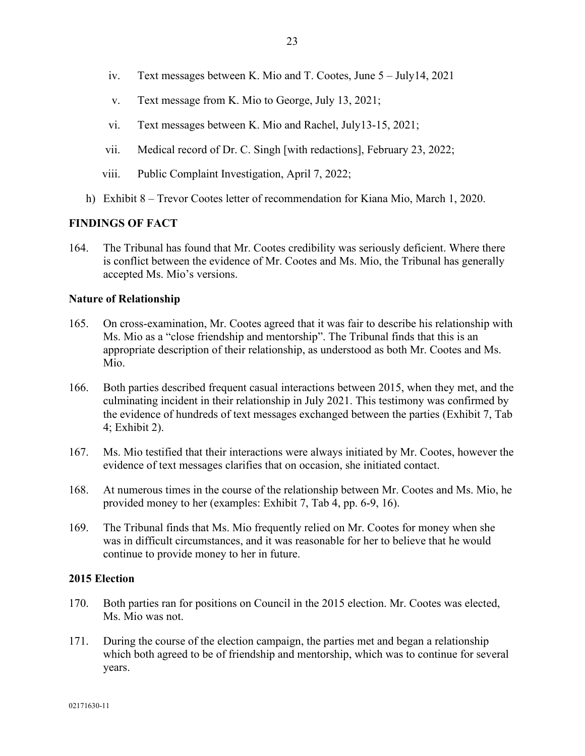- iv. Text messages between K. Mio and T. Cootes, June 5 July14, 2021
- v. Text message from K. Mio to George, July 13, 2021;
- vi. Text messages between K. Mio and Rachel, July13-15, 2021;
- vii. Medical record of Dr. C. Singh [with redactions], February 23, 2022;
- viii. Public Complaint Investigation, April 7, 2022;
- h) Exhibit 8 Trevor Cootes letter of recommendation for Kiana Mio, March 1, 2020.

## **FINDINGS OF FACT**

164. The Tribunal has found that Mr. Cootes credibility was seriously deficient. Where there is conflict between the evidence of Mr. Cootes and Ms. Mio, the Tribunal has generally accepted Ms. Mio's versions.

## **Nature of Relationship**

- 165. On cross-examination, Mr. Cootes agreed that it was fair to describe his relationship with Ms. Mio as a "close friendship and mentorship". The Tribunal finds that this is an appropriate description of their relationship, as understood as both Mr. Cootes and Ms. Mio.
- 166. Both parties described frequent casual interactions between 2015, when they met, and the culminating incident in their relationship in July 2021. This testimony was confirmed by the evidence of hundreds of text messages exchanged between the parties (Exhibit 7, Tab 4; Exhibit 2).
- 167. Ms. Mio testified that their interactions were always initiated by Mr. Cootes, however the evidence of text messages clarifies that on occasion, she initiated contact.
- 168. At numerous times in the course of the relationship between Mr. Cootes and Ms. Mio, he provided money to her (examples: Exhibit 7, Tab 4, pp. 6-9, 16).
- 169. The Tribunal finds that Ms. Mio frequently relied on Mr. Cootes for money when she was in difficult circumstances, and it was reasonable for her to believe that he would continue to provide money to her in future.

### **2015 Election**

- 170. Both parties ran for positions on Council in the 2015 election. Mr. Cootes was elected, Ms. Mio was not.
- 171. During the course of the election campaign, the parties met and began a relationship which both agreed to be of friendship and mentorship, which was to continue for several years.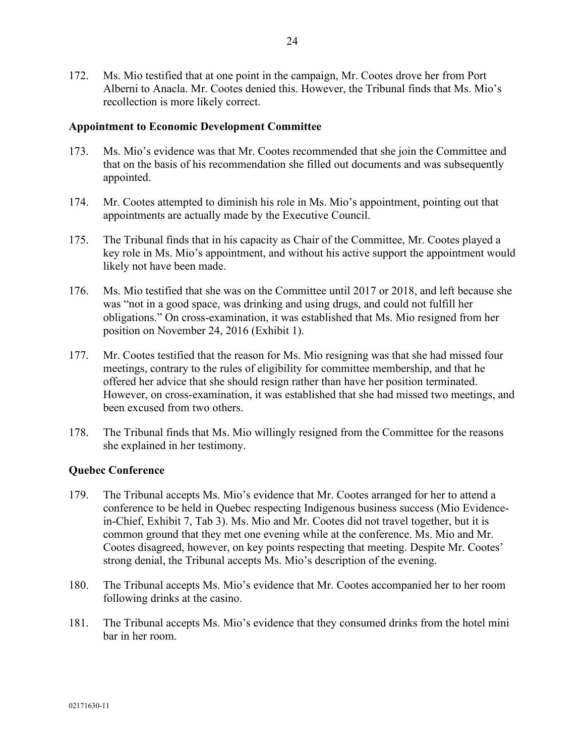172. Ms. Mio testified that at one point in the campaign, Mr. Cootes drove her from Port Alberni to Anacla. Mr. Cootes denied this. However, the Tribunal finds that Ms. Mio's recollection is more likely correct.

## **Appointment to Economic Development Committee**

- 173. Ms. Mio's evidence was that Mr. Cootes recommended that she join the Committee and that on the basis of his recommendation she filled out documents and was subsequently appointed.
- 174. Mr. Cootes attempted to diminish his role in Ms. Mio's appointment, pointing out that appointments are actually made by the Executive Council.
- 175. The Tribunal finds that in his capacity as Chair of the Committee, Mr. Cootes played a key role in Ms. Mio's appointment, and without his active support the appointment would likely not have been made.
- 176. Ms. Mio testified that she was on the Committee until 2017 or 2018, and left because she was "not in a good space, was drinking and using drugs, and could not fulfill her obligations." On cross-examination, it was established that Ms. Mio resigned from her position on November 24, 2016 (Exhibit 1).
- 177. Mr. Cootes testified that the reason for Ms. Mio resigning was that she had missed four meetings, contrary to the rules of eligibility for committee membership, and that he offered her advice that she should resign rather than have her position terminated. However, on cross-examination, it was established that she had missed two meetings, and been excused from two others.
- 178. The Tribunal finds that Ms. Mio willingly resigned from the Committee for the reasons she explained in her testimony.

# **Quebec Conference**

- 179. The Tribunal accepts Ms. Mio's evidence that Mr. Cootes arranged for her to attend a conference to be held in Quebec respecting Indigenous business success (Mio Evidencein-Chief, Exhibit 7, Tab 3). Ms. Mio and Mr. Cootes did not travel together, but it is common ground that they met one evening while at the conference. Ms. Mio and Mr. Cootes disagreed, however, on key points respecting that meeting. Despite Mr. Cootes' strong denial, the Tribunal accepts Ms. Mio's description of the evening.
- 180. The Tribunal accepts Ms. Mio's evidence that Mr. Cootes accompanied her to her room following drinks at the casino.
- 181. The Tribunal accepts Ms. Mio's evidence that they consumed drinks from the hotel mini bar in her room.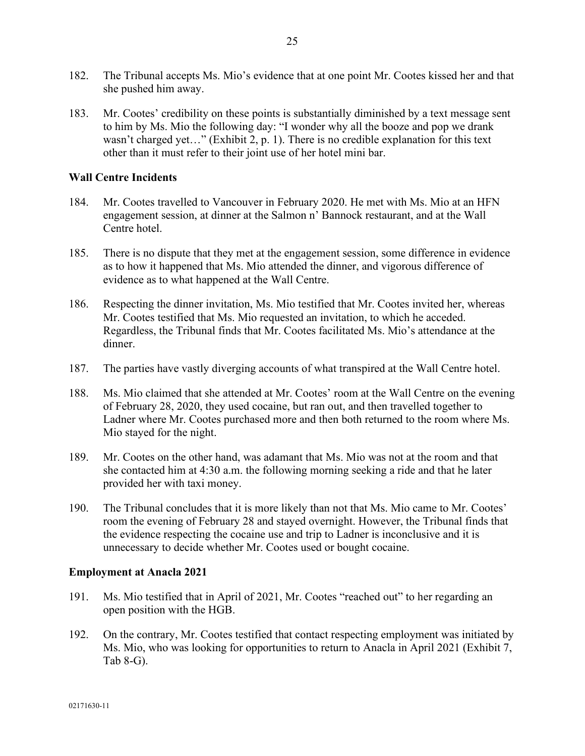- 182. The Tribunal accepts Ms. Mio's evidence that at one point Mr. Cootes kissed her and that she pushed him away.
- 183. Mr. Cootes' credibility on these points is substantially diminished by a text message sent to him by Ms. Mio the following day: "I wonder why all the booze and pop we drank wasn't charged yet…" (Exhibit 2, p. 1). There is no credible explanation for this text other than it must refer to their joint use of her hotel mini bar.

## **Wall Centre Incidents**

- 184. Mr. Cootes travelled to Vancouver in February 2020. He met with Ms. Mio at an HFN engagement session, at dinner at the Salmon n' Bannock restaurant, and at the Wall Centre hotel.
- 185. There is no dispute that they met at the engagement session, some difference in evidence as to how it happened that Ms. Mio attended the dinner, and vigorous difference of evidence as to what happened at the Wall Centre.
- 186. Respecting the dinner invitation, Ms. Mio testified that Mr. Cootes invited her, whereas Mr. Cootes testified that Ms. Mio requested an invitation, to which he acceded. Regardless, the Tribunal finds that Mr. Cootes facilitated Ms. Mio's attendance at the dinner.
- 187. The parties have vastly diverging accounts of what transpired at the Wall Centre hotel.
- 188. Ms. Mio claimed that she attended at Mr. Cootes' room at the Wall Centre on the evening of February 28, 2020, they used cocaine, but ran out, and then travelled together to Ladner where Mr. Cootes purchased more and then both returned to the room where Ms. Mio stayed for the night.
- 189. Mr. Cootes on the other hand, was adamant that Ms. Mio was not at the room and that she contacted him at 4:30 a.m. the following morning seeking a ride and that he later provided her with taxi money.
- 190. The Tribunal concludes that it is more likely than not that Ms. Mio came to Mr. Cootes' room the evening of February 28 and stayed overnight. However, the Tribunal finds that the evidence respecting the cocaine use and trip to Ladner is inconclusive and it is unnecessary to decide whether Mr. Cootes used or bought cocaine.

### **Employment at Anacla 2021**

- 191. Ms. Mio testified that in April of 2021, Mr. Cootes "reached out" to her regarding an open position with the HGB.
- 192. On the contrary, Mr. Cootes testified that contact respecting employment was initiated by Ms. Mio, who was looking for opportunities to return to Anacla in April 2021 (Exhibit 7, Tab 8-G).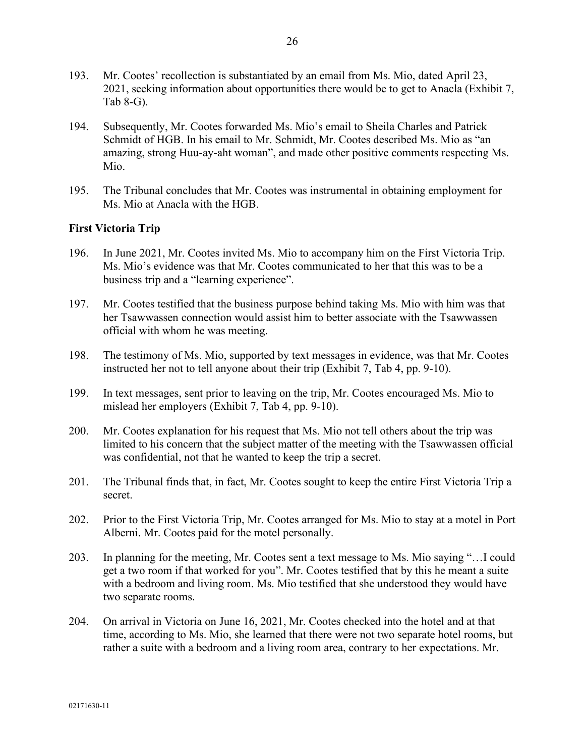- 193. Mr. Cootes' recollection is substantiated by an email from Ms. Mio, dated April 23, 2021, seeking information about opportunities there would be to get to Anacla (Exhibit 7, Tab 8-G).
- 194. Subsequently, Mr. Cootes forwarded Ms. Mio's email to Sheila Charles and Patrick Schmidt of HGB. In his email to Mr. Schmidt, Mr. Cootes described Ms. Mio as "an amazing, strong Huu-ay-aht woman", and made other positive comments respecting Ms. Mio.
- 195. The Tribunal concludes that Mr. Cootes was instrumental in obtaining employment for Ms. Mio at Anacla with the HGB.

## **First Victoria Trip**

- 196. In June 2021, Mr. Cootes invited Ms. Mio to accompany him on the First Victoria Trip. Ms. Mio's evidence was that Mr. Cootes communicated to her that this was to be a business trip and a "learning experience".
- 197. Mr. Cootes testified that the business purpose behind taking Ms. Mio with him was that her Tsawwassen connection would assist him to better associate with the Tsawwassen official with whom he was meeting.
- 198. The testimony of Ms. Mio, supported by text messages in evidence, was that Mr. Cootes instructed her not to tell anyone about their trip (Exhibit 7, Tab 4, pp. 9-10).
- 199. In text messages, sent prior to leaving on the trip, Mr. Cootes encouraged Ms. Mio to mislead her employers (Exhibit 7, Tab 4, pp. 9-10).
- 200. Mr. Cootes explanation for his request that Ms. Mio not tell others about the trip was limited to his concern that the subject matter of the meeting with the Tsawwassen official was confidential, not that he wanted to keep the trip a secret.
- 201. The Tribunal finds that, in fact, Mr. Cootes sought to keep the entire First Victoria Trip a secret.
- 202. Prior to the First Victoria Trip, Mr. Cootes arranged for Ms. Mio to stay at a motel in Port Alberni. Mr. Cootes paid for the motel personally.
- 203. In planning for the meeting, Mr. Cootes sent a text message to Ms. Mio saying "…I could get a two room if that worked for you". Mr. Cootes testified that by this he meant a suite with a bedroom and living room. Ms. Mio testified that she understood they would have two separate rooms.
- 204. On arrival in Victoria on June 16, 2021, Mr. Cootes checked into the hotel and at that time, according to Ms. Mio, she learned that there were not two separate hotel rooms, but rather a suite with a bedroom and a living room area, contrary to her expectations. Mr.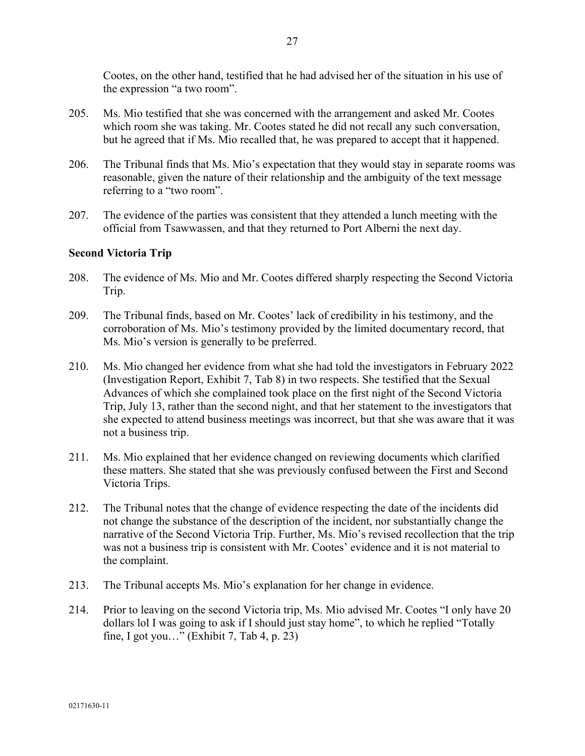Cootes, on the other hand, testified that he had advised her of the situation in his use of the expression "a two room".

- 205. Ms. Mio testified that she was concerned with the arrangement and asked Mr. Cootes which room she was taking. Mr. Cootes stated he did not recall any such conversation, but he agreed that if Ms. Mio recalled that, he was prepared to accept that it happened.
- 206. The Tribunal finds that Ms. Mio's expectation that they would stay in separate rooms was reasonable, given the nature of their relationship and the ambiguity of the text message referring to a "two room".
- 207. The evidence of the parties was consistent that they attended a lunch meeting with the official from Tsawwassen, and that they returned to Port Alberni the next day.

### **Second Victoria Trip**

- 208. The evidence of Ms. Mio and Mr. Cootes differed sharply respecting the Second Victoria Trip.
- 209. The Tribunal finds, based on Mr. Cootes' lack of credibility in his testimony, and the corroboration of Ms. Mio's testimony provided by the limited documentary record, that Ms. Mio's version is generally to be preferred.
- 210. Ms. Mio changed her evidence from what she had told the investigators in February 2022 (Investigation Report, Exhibit 7, Tab 8) in two respects. She testified that the Sexual Advances of which she complained took place on the first night of the Second Victoria Trip, July 13, rather than the second night, and that her statement to the investigators that she expected to attend business meetings was incorrect, but that she was aware that it was not a business trip.
- 211. Ms. Mio explained that her evidence changed on reviewing documents which clarified these matters. She stated that she was previously confused between the First and Second Victoria Trips.
- 212. The Tribunal notes that the change of evidence respecting the date of the incidents did not change the substance of the description of the incident, nor substantially change the narrative of the Second Victoria Trip. Further, Ms. Mio's revised recollection that the trip was not a business trip is consistent with Mr. Cootes' evidence and it is not material to the complaint.
- 213. The Tribunal accepts Ms. Mio's explanation for her change in evidence.
- 214. Prior to leaving on the second Victoria trip, Ms. Mio advised Mr. Cootes "I only have 20 dollars lol I was going to ask if I should just stay home", to which he replied "Totally fine, I got you…" (Exhibit 7, Tab 4, p. 23)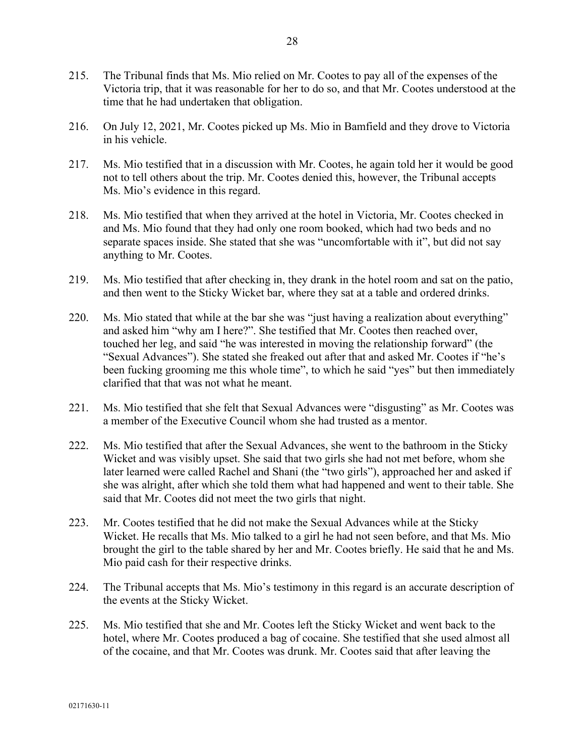- 215. The Tribunal finds that Ms. Mio relied on Mr. Cootes to pay all of the expenses of the Victoria trip, that it was reasonable for her to do so, and that Mr. Cootes understood at the time that he had undertaken that obligation.
- 216. On July 12, 2021, Mr. Cootes picked up Ms. Mio in Bamfield and they drove to Victoria in his vehicle.
- 217. Ms. Mio testified that in a discussion with Mr. Cootes, he again told her it would be good not to tell others about the trip. Mr. Cootes denied this, however, the Tribunal accepts Ms. Mio's evidence in this regard.
- 218. Ms. Mio testified that when they arrived at the hotel in Victoria, Mr. Cootes checked in and Ms. Mio found that they had only one room booked, which had two beds and no separate spaces inside. She stated that she was "uncomfortable with it", but did not say anything to Mr. Cootes.
- 219. Ms. Mio testified that after checking in, they drank in the hotel room and sat on the patio, and then went to the Sticky Wicket bar, where they sat at a table and ordered drinks.
- 220. Ms. Mio stated that while at the bar she was "just having a realization about everything" and asked him "why am I here?". She testified that Mr. Cootes then reached over, touched her leg, and said "he was interested in moving the relationship forward" (the "Sexual Advances"). She stated she freaked out after that and asked Mr. Cootes if "he's been fucking grooming me this whole time", to which he said "yes" but then immediately clarified that that was not what he meant.
- 221. Ms. Mio testified that she felt that Sexual Advances were "disgusting" as Mr. Cootes was a member of the Executive Council whom she had trusted as a mentor.
- 222. Ms. Mio testified that after the Sexual Advances, she went to the bathroom in the Sticky Wicket and was visibly upset. She said that two girls she had not met before, whom she later learned were called Rachel and Shani (the "two girls"), approached her and asked if she was alright, after which she told them what had happened and went to their table. She said that Mr. Cootes did not meet the two girls that night.
- 223. Mr. Cootes testified that he did not make the Sexual Advances while at the Sticky Wicket. He recalls that Ms. Mio talked to a girl he had not seen before, and that Ms. Mio brought the girl to the table shared by her and Mr. Cootes briefly. He said that he and Ms. Mio paid cash for their respective drinks.
- 224. The Tribunal accepts that Ms. Mio's testimony in this regard is an accurate description of the events at the Sticky Wicket.
- 225. Ms. Mio testified that she and Mr. Cootes left the Sticky Wicket and went back to the hotel, where Mr. Cootes produced a bag of cocaine. She testified that she used almost all of the cocaine, and that Mr. Cootes was drunk. Mr. Cootes said that after leaving the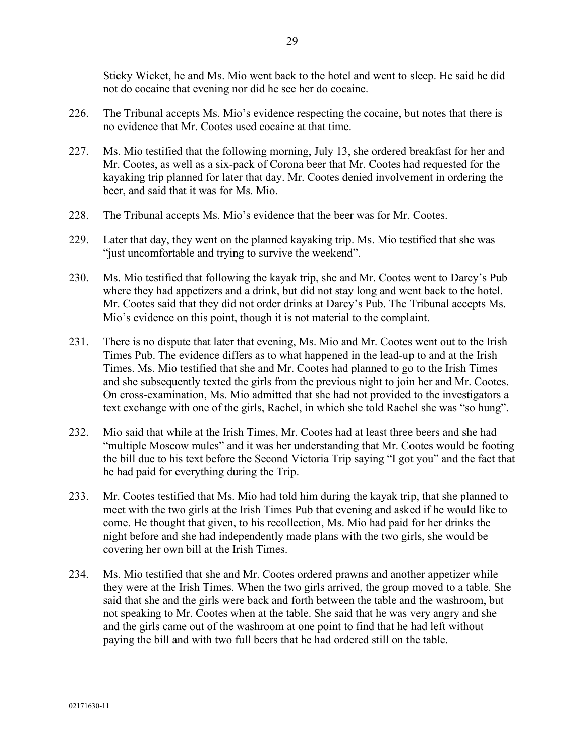Sticky Wicket, he and Ms. Mio went back to the hotel and went to sleep. He said he did not do cocaine that evening nor did he see her do cocaine.

- 226. The Tribunal accepts Ms. Mio's evidence respecting the cocaine, but notes that there is no evidence that Mr. Cootes used cocaine at that time.
- 227. Ms. Mio testified that the following morning, July 13, she ordered breakfast for her and Mr. Cootes, as well as a six-pack of Corona beer that Mr. Cootes had requested for the kayaking trip planned for later that day. Mr. Cootes denied involvement in ordering the beer, and said that it was for Ms. Mio.
- 228. The Tribunal accepts Ms. Mio's evidence that the beer was for Mr. Cootes.
- 229. Later that day, they went on the planned kayaking trip. Ms. Mio testified that she was "just uncomfortable and trying to survive the weekend".
- 230. Ms. Mio testified that following the kayak trip, she and Mr. Cootes went to Darcy's Pub where they had appetizers and a drink, but did not stay long and went back to the hotel. Mr. Cootes said that they did not order drinks at Darcy's Pub. The Tribunal accepts Ms. Mio's evidence on this point, though it is not material to the complaint.
- 231. There is no dispute that later that evening, Ms. Mio and Mr. Cootes went out to the Irish Times Pub. The evidence differs as to what happened in the lead-up to and at the Irish Times. Ms. Mio testified that she and Mr. Cootes had planned to go to the Irish Times and she subsequently texted the girls from the previous night to join her and Mr. Cootes. On cross-examination, Ms. Mio admitted that she had not provided to the investigators a text exchange with one of the girls, Rachel, in which she told Rachel she was "so hung".
- 232. Mio said that while at the Irish Times, Mr. Cootes had at least three beers and she had "multiple Moscow mules" and it was her understanding that Mr. Cootes would be footing the bill due to his text before the Second Victoria Trip saying "I got you" and the fact that he had paid for everything during the Trip.
- 233. Mr. Cootes testified that Ms. Mio had told him during the kayak trip, that she planned to meet with the two girls at the Irish Times Pub that evening and asked if he would like to come. He thought that given, to his recollection, Ms. Mio had paid for her drinks the night before and she had independently made plans with the two girls, she would be covering her own bill at the Irish Times.
- 234. Ms. Mio testified that she and Mr. Cootes ordered prawns and another appetizer while they were at the Irish Times. When the two girls arrived, the group moved to a table. She said that she and the girls were back and forth between the table and the washroom, but not speaking to Mr. Cootes when at the table. She said that he was very angry and she and the girls came out of the washroom at one point to find that he had left without paying the bill and with two full beers that he had ordered still on the table.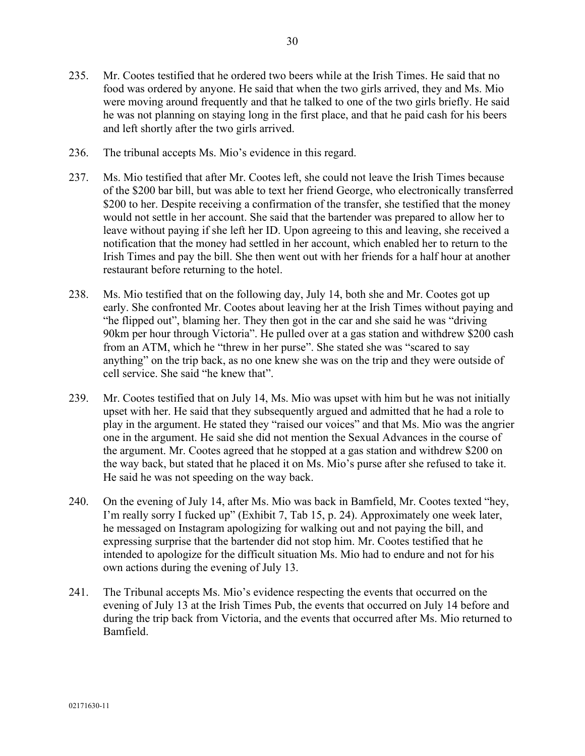- 235. Mr. Cootes testified that he ordered two beers while at the Irish Times. He said that no food was ordered by anyone. He said that when the two girls arrived, they and Ms. Mio were moving around frequently and that he talked to one of the two girls briefly. He said he was not planning on staying long in the first place, and that he paid cash for his beers and left shortly after the two girls arrived.
- 236. The tribunal accepts Ms. Mio's evidence in this regard.
- 237. Ms. Mio testified that after Mr. Cootes left, she could not leave the Irish Times because of the \$200 bar bill, but was able to text her friend George, who electronically transferred \$200 to her. Despite receiving a confirmation of the transfer, she testified that the money would not settle in her account. She said that the bartender was prepared to allow her to leave without paying if she left her ID. Upon agreeing to this and leaving, she received a notification that the money had settled in her account, which enabled her to return to the Irish Times and pay the bill. She then went out with her friends for a half hour at another restaurant before returning to the hotel.
- 238. Ms. Mio testified that on the following day, July 14, both she and Mr. Cootes got up early. She confronted Mr. Cootes about leaving her at the Irish Times without paying and "he flipped out", blaming her. They then got in the car and she said he was "driving 90km per hour through Victoria". He pulled over at a gas station and withdrew \$200 cash from an ATM, which he "threw in her purse". She stated she was "scared to say anything" on the trip back, as no one knew she was on the trip and they were outside of cell service. She said "he knew that".
- 239. Mr. Cootes testified that on July 14, Ms. Mio was upset with him but he was not initially upset with her. He said that they subsequently argued and admitted that he had a role to play in the argument. He stated they "raised our voices" and that Ms. Mio was the angrier one in the argument. He said she did not mention the Sexual Advances in the course of the argument. Mr. Cootes agreed that he stopped at a gas station and withdrew \$200 on the way back, but stated that he placed it on Ms. Mio's purse after she refused to take it. He said he was not speeding on the way back.
- 240. On the evening of July 14, after Ms. Mio was back in Bamfield, Mr. Cootes texted "hey, I'm really sorry I fucked up" (Exhibit 7, Tab 15, p. 24). Approximately one week later, he messaged on Instagram apologizing for walking out and not paying the bill, and expressing surprise that the bartender did not stop him. Mr. Cootes testified that he intended to apologize for the difficult situation Ms. Mio had to endure and not for his own actions during the evening of July 13.
- 241. The Tribunal accepts Ms. Mio's evidence respecting the events that occurred on the evening of July 13 at the Irish Times Pub, the events that occurred on July 14 before and during the trip back from Victoria, and the events that occurred after Ms. Mio returned to Bamfield.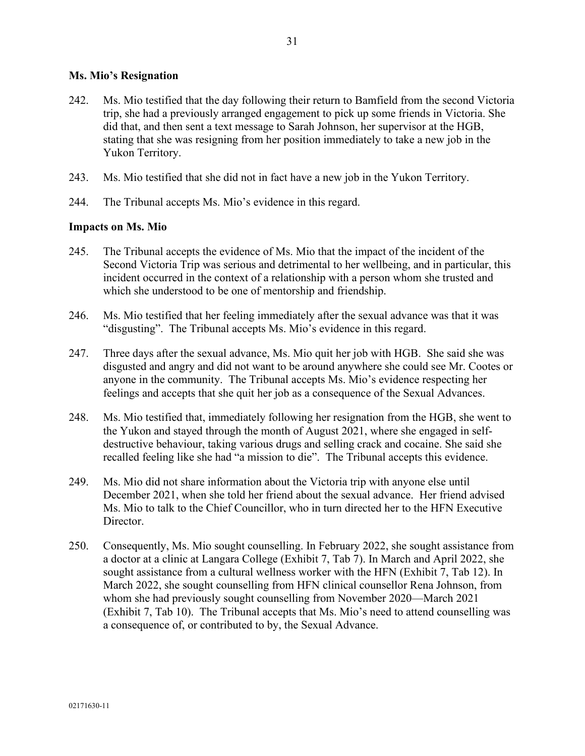## **Ms. Mio's Resignation**

- 242. Ms. Mio testified that the day following their return to Bamfield from the second Victoria trip, she had a previously arranged engagement to pick up some friends in Victoria. She did that, and then sent a text message to Sarah Johnson, her supervisor at the HGB, stating that she was resigning from her position immediately to take a new job in the Yukon Territory.
- 243. Ms. Mio testified that she did not in fact have a new job in the Yukon Territory.
- 244. The Tribunal accepts Ms. Mio's evidence in this regard.

## **Impacts on Ms. Mio**

- 245. The Tribunal accepts the evidence of Ms. Mio that the impact of the incident of the Second Victoria Trip was serious and detrimental to her wellbeing, and in particular, this incident occurred in the context of a relationship with a person whom she trusted and which she understood to be one of mentorship and friendship.
- 246. Ms. Mio testified that her feeling immediately after the sexual advance was that it was "disgusting". The Tribunal accepts Ms. Mio's evidence in this regard.
- 247. Three days after the sexual advance, Ms. Mio quit her job with HGB. She said she was disgusted and angry and did not want to be around anywhere she could see Mr. Cootes or anyone in the community. The Tribunal accepts Ms. Mio's evidence respecting her feelings and accepts that she quit her job as a consequence of the Sexual Advances.
- 248. Ms. Mio testified that, immediately following her resignation from the HGB, she went to the Yukon and stayed through the month of August 2021, where she engaged in selfdestructive behaviour, taking various drugs and selling crack and cocaine. She said she recalled feeling like she had "a mission to die". The Tribunal accepts this evidence.
- 249. Ms. Mio did not share information about the Victoria trip with anyone else until December 2021, when she told her friend about the sexual advance. Her friend advised Ms. Mio to talk to the Chief Councillor, who in turn directed her to the HFN Executive Director.
- 250. Consequently, Ms. Mio sought counselling. In February 2022, she sought assistance from a doctor at a clinic at Langara College (Exhibit 7, Tab 7). In March and April 2022, she sought assistance from a cultural wellness worker with the HFN (Exhibit 7, Tab 12). In March 2022, she sought counselling from HFN clinical counsellor Rena Johnson, from whom she had previously sought counselling from November 2020—March 2021 (Exhibit 7, Tab 10). The Tribunal accepts that Ms. Mio's need to attend counselling was a consequence of, or contributed to by, the Sexual Advance.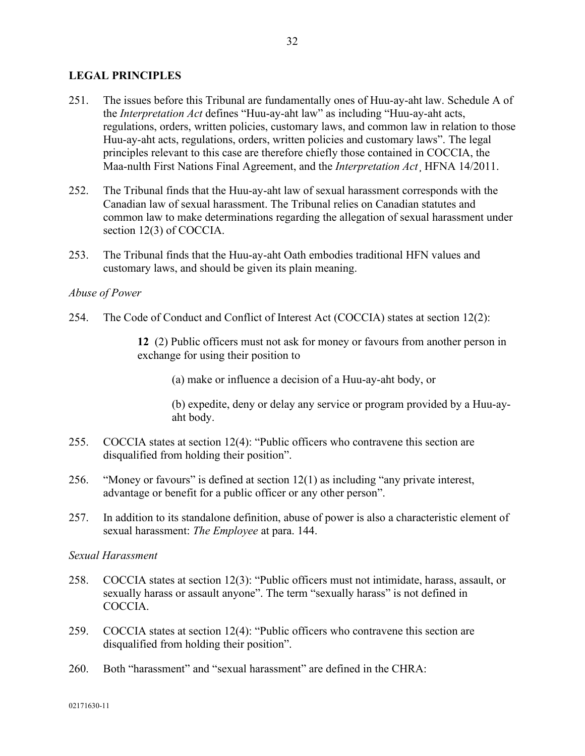## **LEGAL PRINCIPLES**

- 251. The issues before this Tribunal are fundamentally ones of Huu-ay-aht law. Schedule A of the *Interpretation Act* defines "Huu-ay-aht law" as including "Huu-ay-aht acts, regulations, orders, written policies, customary laws, and common law in relation to those Huu-ay-aht acts, regulations, orders, written policies and customary laws". The legal principles relevant to this case are therefore chiefly those contained in COCCIA, the Maa-nulth First Nations Final Agreement, and the *Interpretation Act*¸ HFNA 14/2011.
- 252. The Tribunal finds that the Huu-ay-aht law of sexual harassment corresponds with the Canadian law of sexual harassment. The Tribunal relies on Canadian statutes and common law to make determinations regarding the allegation of sexual harassment under section 12(3) of COCCIA.
- 253. The Tribunal finds that the Huu-ay-aht Oath embodies traditional HFN values and customary laws, and should be given its plain meaning.

### *Abuse of Power*

254. The Code of Conduct and Conflict of Interest Act (COCCIA) states at section 12(2):

**12** (2) Public officers must not ask for money or favours from another person in exchange for using their position to

(a) make or influence a decision of a Huu-ay-aht body, or

(b) expedite, deny or delay any service or program provided by a Huu-ayaht body.

- 255. COCCIA states at section 12(4): "Public officers who contravene this section are disqualified from holding their position".
- 256. "Money or favours" is defined at section 12(1) as including "any private interest, advantage or benefit for a public officer or any other person".
- 257. In addition to its standalone definition, abuse of power is also a characteristic element of sexual harassment: *The Employee* at para. 144.

*Sexual Harassment*

- 258. COCCIA states at section 12(3): "Public officers must not intimidate, harass, assault, or sexually harass or assault anyone". The term "sexually harass" is not defined in COCCIA.
- 259. COCCIA states at section 12(4): "Public officers who contravene this section are disqualified from holding their position".
- 260. Both "harassment" and "sexual harassment" are defined in the CHRA: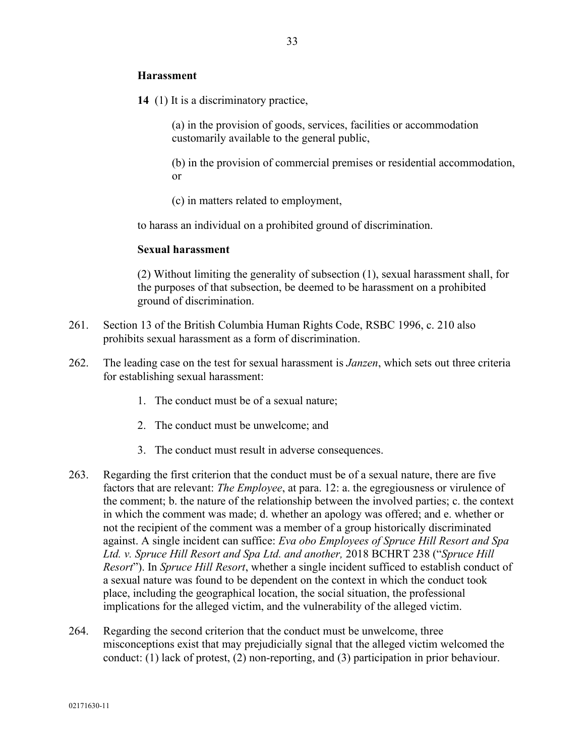## **Harassment**

**14** (1) It is a discriminatory practice,

(a) in the provision of goods, services, facilities or accommodation customarily available to the general public,

(b) in the provision of commercial premises or residential accommodation, or

(c) in matters related to employment,

to harass an individual on a prohibited ground of discrimination.

#### **Sexual harassment**

(2) Without limiting the generality of subsection (1), sexual harassment shall, for the purposes of that subsection, be deemed to be harassment on a prohibited ground of discrimination.

- 261. Section 13 of the British Columbia Human Rights Code, RSBC 1996, c. 210 also prohibits sexual harassment as a form of discrimination.
- 262. The leading case on the test for sexual harassment is *Janzen*, which sets out three criteria for establishing sexual harassment:
	- 1. The conduct must be of a sexual nature;
	- 2. The conduct must be unwelcome; and
	- 3. The conduct must result in adverse consequences.
- 263. Regarding the first criterion that the conduct must be of a sexual nature, there are five factors that are relevant: *The Employee*, at para. 12: a. the egregiousness or virulence of the comment; b. the nature of the relationship between the involved parties; c. the context in which the comment was made; d. whether an apology was offered; and e. whether or not the recipient of the comment was a member of a group historically discriminated against. A single incident can suffice: *Eva obo Employees of Spruce Hill Resort and Spa Ltd. v. Spruce Hill Resort and Spa Ltd. and another,* 2018 BCHRT 238 ("*Spruce Hill Resort*"). In *Spruce Hill Resort*, whether a single incident sufficed to establish conduct of a sexual nature was found to be dependent on the context in which the conduct took place, including the geographical location, the social situation, the professional implications for the alleged victim, and the vulnerability of the alleged victim.
- 264. Regarding the second criterion that the conduct must be unwelcome, three misconceptions exist that may prejudicially signal that the alleged victim welcomed the conduct: (1) lack of protest, (2) non-reporting, and (3) participation in prior behaviour.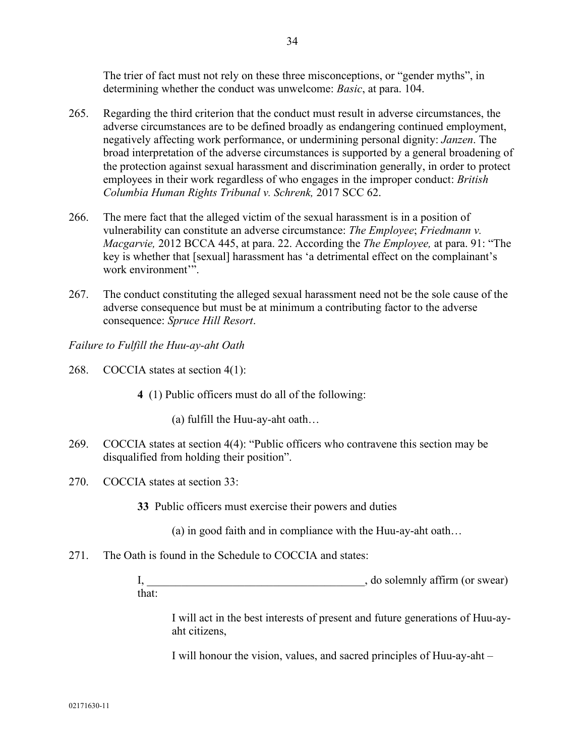The trier of fact must not rely on these three misconceptions, or "gender myths", in determining whether the conduct was unwelcome: *Basic*, at para. 104.

- 265. Regarding the third criterion that the conduct must result in adverse circumstances, the adverse circumstances are to be defined broadly as endangering continued employment, negatively affecting work performance, or undermining personal dignity: *Janzen*. The broad interpretation of the adverse circumstances is supported by a general broadening of the protection against sexual harassment and discrimination generally, in order to protect employees in their work regardless of who engages in the improper conduct: *British Columbia Human Rights Tribunal v. Schrenk,* 2017 SCC 62.
- 266. The mere fact that the alleged victim of the sexual harassment is in a position of vulnerability can constitute an adverse circumstance: *The Employee*; *Friedmann v. Macgarvie,* 2012 BCCA 445, at para. 22. According the *The Employee,* at para. 91: "The key is whether that [sexual] harassment has 'a detrimental effect on the complainant's work environment'".
- 267. The conduct constituting the alleged sexual harassment need not be the sole cause of the adverse consequence but must be at minimum a contributing factor to the adverse consequence: *Spruce Hill Resort*.

*Failure to Fulfill the Huu-ay-aht Oath*

- 268. COCCIA states at section 4(1):
	- **4** (1) Public officers must do all of the following:

(a) fulfill the Huu-ay-aht oath…

- 269. COCCIA states at section 4(4): "Public officers who contravene this section may be disqualified from holding their position".
- 270. COCCIA states at section 33:

**33** Public officers must exercise their powers and duties

(a) in good faith and in compliance with the Huu-ay-aht oath…

271. The Oath is found in the Schedule to COCCIA and states:

I, \_\_\_\_\_\_\_\_\_\_\_\_\_\_\_\_\_\_\_\_\_\_\_\_\_\_\_\_\_\_\_\_\_\_\_\_\_\_, do solemnly affirm (or swear) that:

I will act in the best interests of present and future generations of Huu-ayaht citizens,

I will honour the vision, values, and sacred principles of Huu-ay-aht –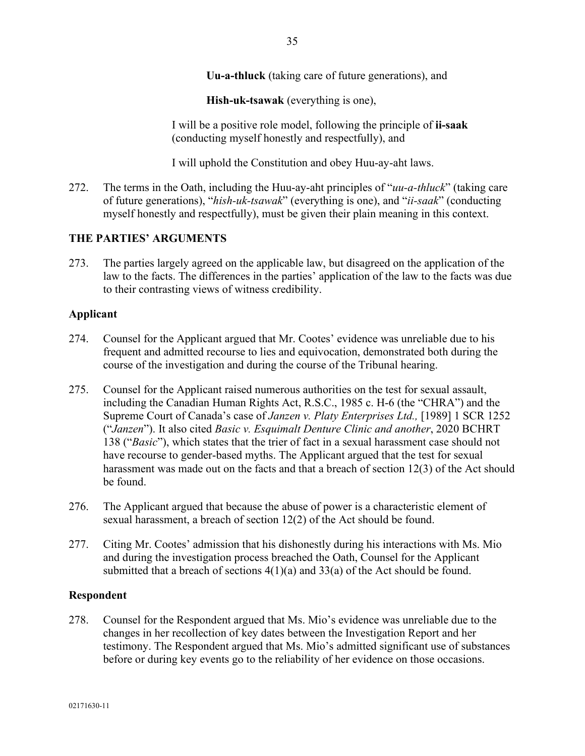**Uu-a-thluck** (taking care of future generations), and

**Hish-uk-tsawak** (everything is one),

I will be a positive role model, following the principle of **ii-saak** (conducting myself honestly and respectfully), and

I will uphold the Constitution and obey Huu-ay-aht laws.

272. The terms in the Oath, including the Huu-ay-aht principles of "*uu-a-thluck*" (taking care of future generations), "*hish-uk-tsawak*" (everything is one), and "*ii-saak*" (conducting myself honestly and respectfully), must be given their plain meaning in this context.

# **THE PARTIES' ARGUMENTS**

273. The parties largely agreed on the applicable law, but disagreed on the application of the law to the facts. The differences in the parties' application of the law to the facts was due to their contrasting views of witness credibility.

## **Applicant**

- 274. Counsel for the Applicant argued that Mr. Cootes' evidence was unreliable due to his frequent and admitted recourse to lies and equivocation, demonstrated both during the course of the investigation and during the course of the Tribunal hearing.
- 275. Counsel for the Applicant raised numerous authorities on the test for sexual assault, including the Canadian Human Rights Act, R.S.C., 1985 c. H-6 (the "CHRA") and the Supreme Court of Canada's case of *Janzen v. Platy Enterprises Ltd.,* [1989] 1 SCR 1252 ("*Janzen*"). It also cited *Basic v. Esquimalt Denture Clinic and another*, 2020 BCHRT 138 ("*Basic*"), which states that the trier of fact in a sexual harassment case should not have recourse to gender-based myths. The Applicant argued that the test for sexual harassment was made out on the facts and that a breach of section 12(3) of the Act should be found.
- 276. The Applicant argued that because the abuse of power is a characteristic element of sexual harassment, a breach of section 12(2) of the Act should be found.
- 277. Citing Mr. Cootes' admission that his dishonestly during his interactions with Ms. Mio and during the investigation process breached the Oath, Counsel for the Applicant submitted that a breach of sections  $4(1)(a)$  and  $33(a)$  of the Act should be found.

### **Respondent**

278. Counsel for the Respondent argued that Ms. Mio's evidence was unreliable due to the changes in her recollection of key dates between the Investigation Report and her testimony. The Respondent argued that Ms. Mio's admitted significant use of substances before or during key events go to the reliability of her evidence on those occasions.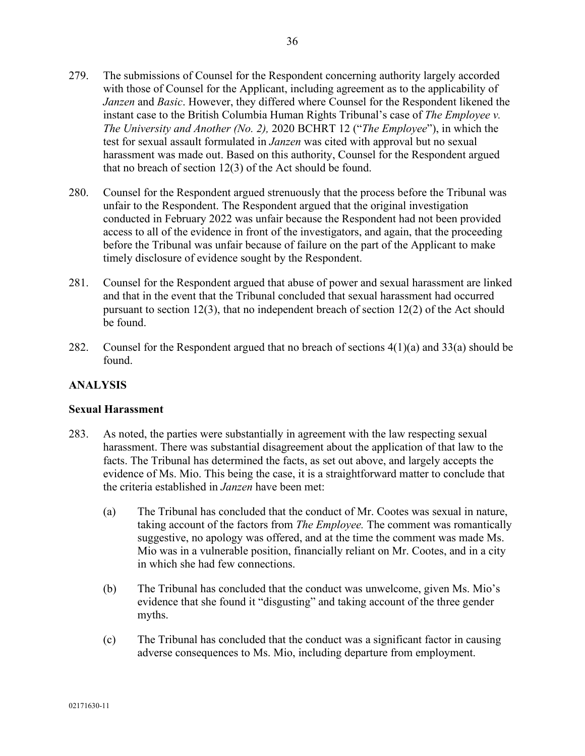36

- 279. The submissions of Counsel for the Respondent concerning authority largely accorded with those of Counsel for the Applicant, including agreement as to the applicability of *Janzen* and *Basic*. However, they differed where Counsel for the Respondent likened the instant case to the British Columbia Human Rights Tribunal's case of *The Employee v. The University and Another (No. 2),* 2020 BCHRT 12 ("*The Employee*"), in which the test for sexual assault formulated in *Janzen* was cited with approval but no sexual harassment was made out. Based on this authority, Counsel for the Respondent argued that no breach of section 12(3) of the Act should be found.
- 280. Counsel for the Respondent argued strenuously that the process before the Tribunal was unfair to the Respondent. The Respondent argued that the original investigation conducted in February 2022 was unfair because the Respondent had not been provided access to all of the evidence in front of the investigators, and again, that the proceeding before the Tribunal was unfair because of failure on the part of the Applicant to make timely disclosure of evidence sought by the Respondent.
- 281. Counsel for the Respondent argued that abuse of power and sexual harassment are linked and that in the event that the Tribunal concluded that sexual harassment had occurred pursuant to section 12(3), that no independent breach of section 12(2) of the Act should be found.
- 282. Counsel for the Respondent argued that no breach of sections  $4(1)(a)$  and  $33(a)$  should be found.

# **ANALYSIS**

# **Sexual Harassment**

- 283. As noted, the parties were substantially in agreement with the law respecting sexual harassment. There was substantial disagreement about the application of that law to the facts. The Tribunal has determined the facts, as set out above, and largely accepts the evidence of Ms. Mio. This being the case, it is a straightforward matter to conclude that the criteria established in *Janzen* have been met:
	- (a) The Tribunal has concluded that the conduct of Mr. Cootes was sexual in nature, taking account of the factors from *The Employee.* The comment was romantically suggestive, no apology was offered, and at the time the comment was made Ms. Mio was in a vulnerable position, financially reliant on Mr. Cootes, and in a city in which she had few connections.
	- (b) The Tribunal has concluded that the conduct was unwelcome, given Ms. Mio's evidence that she found it "disgusting" and taking account of the three gender myths.
	- (c) The Tribunal has concluded that the conduct was a significant factor in causing adverse consequences to Ms. Mio, including departure from employment.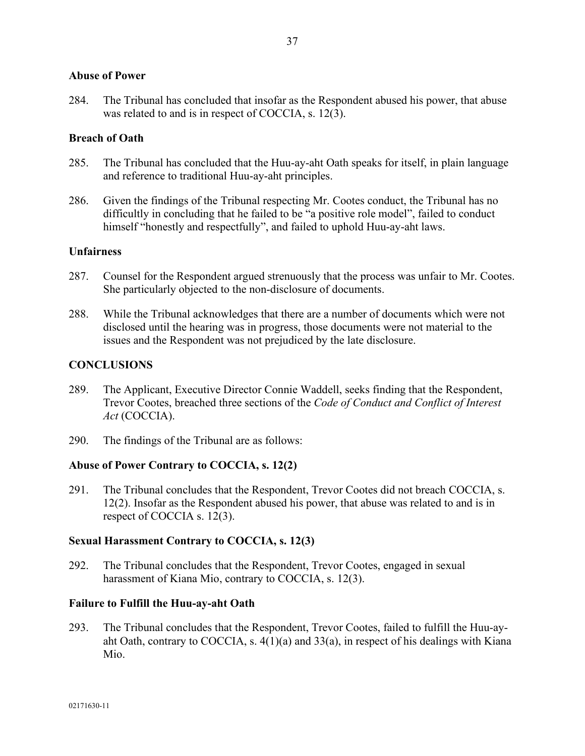## **Abuse of Power**

284. The Tribunal has concluded that insofar as the Respondent abused his power, that abuse was related to and is in respect of COCCIA, s. 12(3).

## **Breach of Oath**

- 285. The Tribunal has concluded that the Huu-ay-aht Oath speaks for itself, in plain language and reference to traditional Huu-ay-aht principles.
- 286. Given the findings of the Tribunal respecting Mr. Cootes conduct, the Tribunal has no difficultly in concluding that he failed to be "a positive role model", failed to conduct himself "honestly and respectfully", and failed to uphold Huu-ay-aht laws.

## **Unfairness**

- 287. Counsel for the Respondent argued strenuously that the process was unfair to Mr. Cootes. She particularly objected to the non-disclosure of documents.
- 288. While the Tribunal acknowledges that there are a number of documents which were not disclosed until the hearing was in progress, those documents were not material to the issues and the Respondent was not prejudiced by the late disclosure.

## **CONCLUSIONS**

- 289. The Applicant, Executive Director Connie Waddell, seeks finding that the Respondent, Trevor Cootes, breached three sections of the *Code of Conduct and Conflict of Interest Act* (COCCIA).
- 290. The findings of the Tribunal are as follows:

### **Abuse of Power Contrary to COCCIA, s. 12(2)**

291. The Tribunal concludes that the Respondent, Trevor Cootes did not breach COCCIA, s. 12(2). Insofar as the Respondent abused his power, that abuse was related to and is in respect of COCCIA s. 12(3).

### **Sexual Harassment Contrary to COCCIA, s. 12(3)**

292. The Tribunal concludes that the Respondent, Trevor Cootes, engaged in sexual harassment of Kiana Mio, contrary to COCCIA, s. 12(3).

### **Failure to Fulfill the Huu-ay-aht Oath**

293. The Tribunal concludes that the Respondent, Trevor Cootes, failed to fulfill the Huu-ayaht Oath, contrary to COCCIA, s. 4(1)(a) and 33(a), in respect of his dealings with Kiana Mio.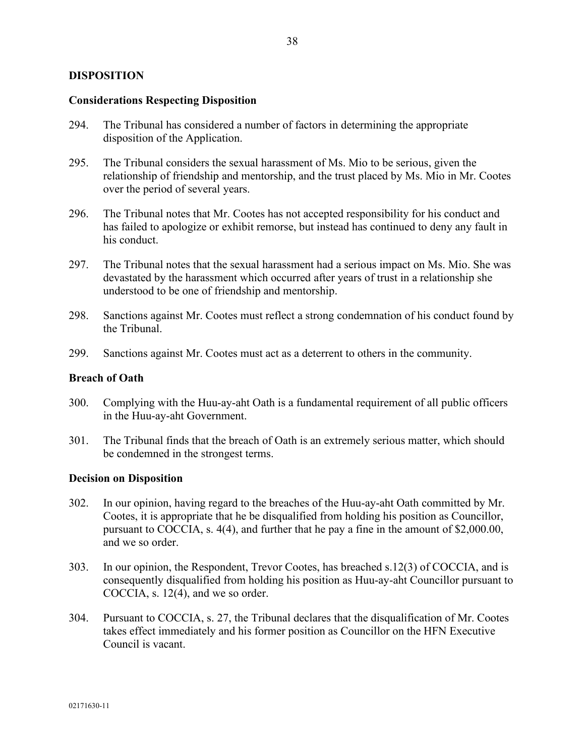## **DISPOSITION**

### **Considerations Respecting Disposition**

- 294. The Tribunal has considered a number of factors in determining the appropriate disposition of the Application.
- 295. The Tribunal considers the sexual harassment of Ms. Mio to be serious, given the relationship of friendship and mentorship, and the trust placed by Ms. Mio in Mr. Cootes over the period of several years.
- 296. The Tribunal notes that Mr. Cootes has not accepted responsibility for his conduct and has failed to apologize or exhibit remorse, but instead has continued to deny any fault in his conduct.
- 297. The Tribunal notes that the sexual harassment had a serious impact on Ms. Mio. She was devastated by the harassment which occurred after years of trust in a relationship she understood to be one of friendship and mentorship.
- 298. Sanctions against Mr. Cootes must reflect a strong condemnation of his conduct found by the Tribunal.
- 299. Sanctions against Mr. Cootes must act as a deterrent to others in the community.

#### **Breach of Oath**

- 300. Complying with the Huu-ay-aht Oath is a fundamental requirement of all public officers in the Huu-ay-aht Government.
- 301. The Tribunal finds that the breach of Oath is an extremely serious matter, which should be condemned in the strongest terms.

#### **Decision on Disposition**

- 302. In our opinion, having regard to the breaches of the Huu-ay-aht Oath committed by Mr. Cootes, it is appropriate that he be disqualified from holding his position as Councillor, pursuant to COCCIA, s. 4(4), and further that he pay a fine in the amount of \$2,000.00, and we so order.
- 303. In our opinion, the Respondent, Trevor Cootes, has breached s.12(3) of COCCIA, and is consequently disqualified from holding his position as Huu-ay-aht Councillor pursuant to COCCIA, s. 12(4), and we so order.
- 304. Pursuant to COCCIA, s. 27, the Tribunal declares that the disqualification of Mr. Cootes takes effect immediately and his former position as Councillor on the HFN Executive Council is vacant.